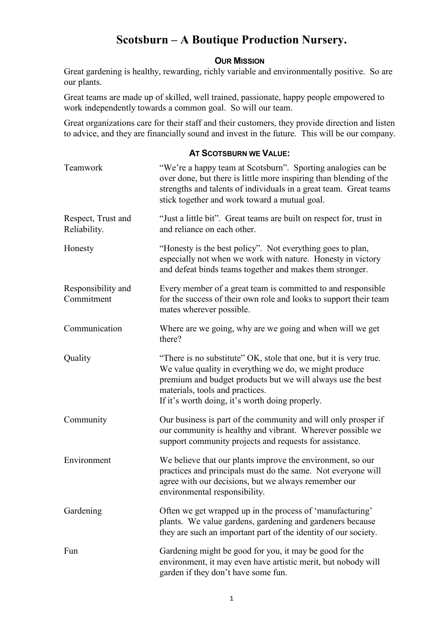# **Scotsburn – A Boutique Production Nursery.**

### **OUR MISSION**

Great gardening is healthy, rewarding, richly variable and environmentally positive. So are our plants.

Great teams are made up of skilled, well trained, passionate, happy people empowered to work independently towards a common goal. So will our team.

Great organizations care for their staff and their customers, they provide direction and listen to advice, and they are financially sound and invest in the future. This will be our company.

### **AT SCOTSBURN WE VALUE:**

| Teamwork                           | "We're a happy team at Scotsburn". Sporting analogies can be<br>over done, but there is little more inspiring than blending of the<br>strengths and talents of individuals in a great team. Great teams<br>stick together and work toward a mutual goal.                         |
|------------------------------------|----------------------------------------------------------------------------------------------------------------------------------------------------------------------------------------------------------------------------------------------------------------------------------|
| Respect, Trust and<br>Reliability. | "Just a little bit". Great teams are built on respect for, trust in<br>and reliance on each other.                                                                                                                                                                               |
| Honesty                            | "Honesty is the best policy". Not everything goes to plan,<br>especially not when we work with nature. Honesty in victory<br>and defeat binds teams together and makes them stronger.                                                                                            |
| Responsibility and<br>Commitment   | Every member of a great team is committed to and responsible<br>for the success of their own role and looks to support their team<br>mates wherever possible.                                                                                                                    |
| Communication                      | Where are we going, why are we going and when will we get<br>there?                                                                                                                                                                                                              |
| Quality                            | "There is no substitute" OK, stole that one, but it is very true.<br>We value quality in everything we do, we might produce<br>premium and budget products but we will always use the best<br>materials, tools and practices.<br>If it's worth doing, it's worth doing properly. |
| Community                          | Our business is part of the community and will only prosper if<br>our community is healthy and vibrant. Wherever possible we<br>support community projects and requests for assistance.                                                                                          |
| Environment                        | We believe that our plants improve the environment, so our<br>practices and principals must do the same. Not everyone will<br>agree with our decisions, but we always remember our<br>environmental responsibility.                                                              |
| Gardening                          | Often we get wrapped up in the process of 'manufacturing'<br>plants. We value gardens, gardening and gardeners because<br>they are such an important part of the identity of our society.                                                                                        |
| Fun                                | Gardening might be good for you, it may be good for the<br>environment, it may even have artistic merit, but nobody will<br>garden if they don't have some fun.                                                                                                                  |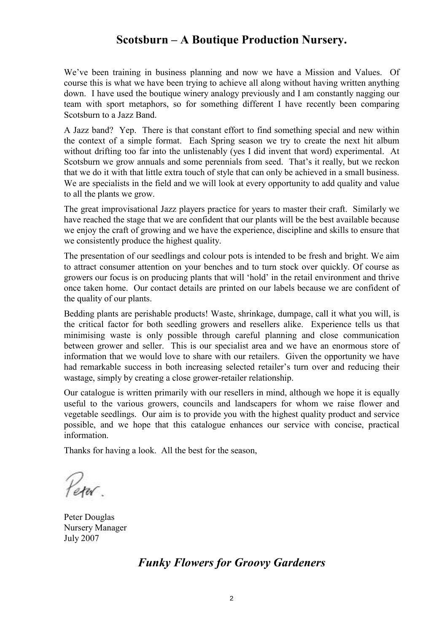# **Scotsburn – A Boutique Production Nursery.**

We've been training in business planning and now we have a Mission and Values. Of course this is what we have been trying to achieve all along without having written anything down. I have used the boutique winery analogy previously and I am constantly nagging our team with sport metaphors, so for something different I have recently been comparing Scotsburn to a Jazz Band.

A Jazz band? Yep. There is that constant effort to find something special and new within the context of a simple format. Each Spring season we try to create the next hit album without drifting too far into the unlistenably (yes I did invent that word) experimental. At Scotsburn we grow annuals and some perennials from seed. That's it really, but we reckon that we do it with that little extra touch of style that can only be achieved in a small business. We are specialists in the field and we will look at every opportunity to add quality and value to all the plants we grow.

The great improvisational Jazz players practice for years to master their craft. Similarly we have reached the stage that we are confident that our plants will be the best available because we enjoy the craft of growing and we have the experience, discipline and skills to ensure that we consistently produce the highest quality.

The presentation of our seedlings and colour pots is intended to be fresh and bright. We aim to attract consumer attention on your benches and to turn stock over quickly. Of course as growers our focus is on producing plants that will 'hold' in the retail environment and thrive once taken home. Our contact details are printed on our labels because we are confident of the quality of our plants.

Bedding plants are perishable products! Waste, shrinkage, dumpage, call it what you will, is the critical factor for both seedling growers and resellers alike. Experience tells us that minimising waste is only possible through careful planning and close communication between grower and seller. This is our specialist area and we have an enormous store of information that we would love to share with our retailers. Given the opportunity we have had remarkable success in both increasing selected retailer's turn over and reducing their wastage, simply by creating a close grower-retailer relationship.

Our catalogue is written primarily with our resellers in mind, although we hope it is equally useful to the various growers, councils and landscapers for whom we raise flower and vegetable seedlings. Our aim is to provide you with the highest quality product and service possible, and we hope that this catalogue enhances our service with concise, practical information.

Thanks for having a look. All the best for the season,

Peru.

Peter Douglas Nursery Manager July 2007

# *Funky Flowers for Groovy Gardeners*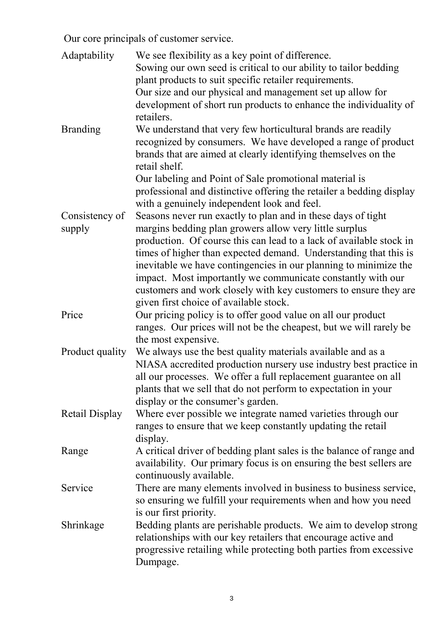Our core principals of customer service.

| Adaptability          | We see flexibility as a key point of difference.                                                                    |
|-----------------------|---------------------------------------------------------------------------------------------------------------------|
|                       | Sowing our own seed is critical to our ability to tailor bedding                                                    |
|                       | plant products to suit specific retailer requirements.                                                              |
|                       | Our size and our physical and management set up allow for                                                           |
|                       | development of short run products to enhance the individuality of                                                   |
|                       | retailers.                                                                                                          |
| <b>Branding</b>       | We understand that very few horticultural brands are readily                                                        |
|                       | recognized by consumers. We have developed a range of product                                                       |
|                       | brands that are aimed at clearly identifying themselves on the<br>retail shelf.                                     |
|                       |                                                                                                                     |
|                       | Our labeling and Point of Sale promotional material is                                                              |
|                       | professional and distinctive offering the retailer a bedding display<br>with a genuinely independent look and feel. |
| Consistency of        | Seasons never run exactly to plan and in these days of tight                                                        |
| supply                | margins bedding plan growers allow very little surplus                                                              |
|                       | production. Of course this can lead to a lack of available stock in                                                 |
|                       | times of higher than expected demand. Understanding that this is                                                    |
|                       | inevitable we have contingencies in our planning to minimize the                                                    |
|                       | impact. Most importantly we communicate constantly with our                                                         |
|                       | customers and work closely with key customers to ensure they are                                                    |
|                       | given first choice of available stock.                                                                              |
| Price                 | Our pricing policy is to offer good value on all our product                                                        |
|                       | ranges. Our prices will not be the cheapest, but we will rarely be                                                  |
|                       | the most expensive.                                                                                                 |
|                       | Product quality We always use the best quality materials available and as a                                         |
|                       | NIASA accredited production nursery use industry best practice in                                                   |
|                       | all our processes. We offer a full replacement guarantee on all                                                     |
|                       | plants that we sell that do not perform to expectation in your                                                      |
|                       | display or the consumer's garden.                                                                                   |
| <b>Retail Display</b> | Where ever possible we integrate named varieties through our                                                        |
|                       | ranges to ensure that we keep constantly updating the retail                                                        |
|                       | display.                                                                                                            |
| Range                 | A critical driver of bedding plant sales is the balance of range and                                                |
|                       | availability. Our primary focus is on ensuring the best sellers are                                                 |
|                       | continuously available.                                                                                             |
| Service               | There are many elements involved in business to business service,                                                   |
|                       | so ensuring we fulfill your requirements when and how you need                                                      |
|                       | is our first priority.                                                                                              |
| Shrinkage             | Bedding plants are perishable products. We aim to develop strong                                                    |
|                       | relationships with our key retailers that encourage active and                                                      |
|                       | progressive retailing while protecting both parties from excessive                                                  |
|                       | Dumpage.                                                                                                            |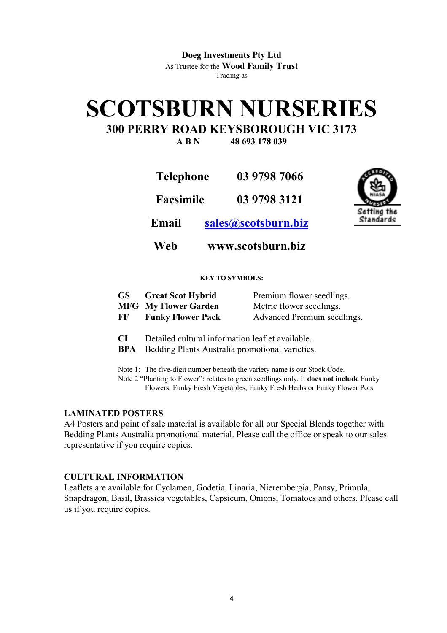**Doeg Investments Pty Ltd**  As Trustee for the **Wood Family Trust** Trading as

# **SCOTSBURN NURSERIES**

# **300 PERRY ROAD KEYSBOROUGH VIC 3173**

**A B N 48 693 178 039** 

**Telephone 03 9798 7066 Facsimile 03 9798 3121** 



**Email sales@scotsburn.biz**

**Web www.scotsburn.biz**

### **KEY TO SYMBOLS:**

| GS | <b>Great Scot Hybrid</b>    | Premium flower seedlings.   |
|----|-----------------------------|-----------------------------|
|    | <b>MFG</b> My Flower Garden | Metric flower seedlings.    |
| FF | <b>Funky Flower Pack</b>    | Advanced Premium seedlings. |

- **CI** Detailed cultural information leaflet available.
- **BPA** Bedding Plants Australia promotional varieties.

Note 1: The five-digit number beneath the variety name is our Stock Code.

Note 2 "Planting to Flower": relates to green seedlings only. It **does not include** Funky Flowers, Funky Fresh Vegetables, Funky Fresh Herbs or Funky Flower Pots.

### **LAMINATED POSTERS**

A4 Posters and point of sale material is available for all our Special Blends together with Bedding Plants Australia promotional material. Please call the office or speak to our sales representative if you require copies.

### **CULTURAL INFORMATION**

Leaflets are available for Cyclamen, Godetia, Linaria, Nierembergia, Pansy, Primula, Snapdragon, Basil, Brassica vegetables, Capsicum, Onions, Tomatoes and others. Please call us if you require copies.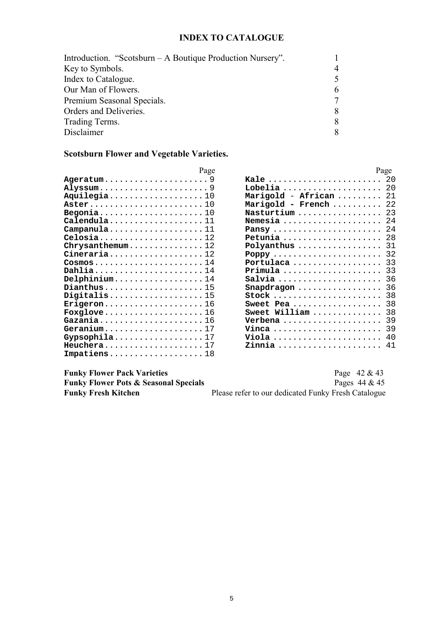### **INDEX TO CATALOGUE**

| Introduction. "Scotsburn – A Boutique Production Nursery". |  |
|------------------------------------------------------------|--|
| Key to Symbols.                                            |  |
| Index to Catalogue.                                        |  |
| Our Man of Flowers.                                        |  |
| Premium Seasonal Specials.                                 |  |
| Orders and Deliveries.                                     |  |
| Trading Terms.                                             |  |
| Disclaimer                                                 |  |

### **Scotsburn Flower and Vegetable Varieties.**

| rage                                                            |  |
|-----------------------------------------------------------------|--|
| $Ageratum \ldots \ldots \ldots \ldots \ldots \ldots \ldots 9$   |  |
| Alyssum9                                                        |  |
| Aquilegia10                                                     |  |
|                                                                 |  |
| Begonia10                                                       |  |
| Calendula11                                                     |  |
| $\texttt{Campanula} \dots \dots \dots \dots \dots \dots 11$     |  |
|                                                                 |  |
| Chrysanthemum12                                                 |  |
| $Cineraria \ldots \ldots \ldots \ldots \ldots 12$               |  |
| $\texttt{Cosmos}\ldots\ldots\ldots\ldots\ldots\ldots\ldots\,14$ |  |
| Dahlia14                                                        |  |
| $\texttt{Delphinium} \dots \dots \dots \dots \dots \dots 14$    |  |
| $Dianthus \ldots \ldots \ldots \ldots \ldots \ldots 15$         |  |
| Digitalis15                                                     |  |
| $krigeron \ldots \ldots \ldots \ldots \ldots 16$                |  |
| Foxglove $\ldots \ldots \ldots \ldots \ldots \ldots 16$         |  |
| Gazania16                                                       |  |
| $Geranium$ 17                                                   |  |
|                                                                 |  |
| $Heuchera$ 17                                                   |  |
| $Impatiens \ldots \ldots \ldots \ldots \ldots 18$               |  |

| Page  |                                                        | Page |
|-------|--------------------------------------------------------|------|
| . . 9 | <b>Kale</b> 20                                         |      |
| . . 9 | Lobelia  20                                            |      |
| .10   | Marigold - African  21                                 |      |
| .10   | Marigold - French $22$                                 |      |
| . 10  | $N$ asturtium  23                                      |      |
| . 11  | $N$ emesia  24                                         |      |
| . 11  |                                                        | 24   |
| . 12  | Petunia                                                | 28   |
| .12   | $\verb"Polyanthus"\dots\ldots\ldots\ldots\ldots\ldots$ | 31   |
| .12   | $Poppy \ldots \ldots \ldots \ldots \ldots \ldots$      | 32   |
| . 14  | Portulaca                                              | 33   |
| . 14  | $Primala$                                              | 33   |
| . 14  | Salvia                                                 | 36   |
| . 15  | Snapdragon                                             | 36   |
| . 15  |                                                        | 38   |
| . 16  | Pea<br>Sweet                                           | 38   |
| . 16  | Sweet William                                          | 38   |
| . 16  | Verbena                                                | 39   |
| . 17  | Vinca                                                  | 39   |
| . 17  | Viola                                                  | 40   |
| . 17  | <u>Zinnia </u>                                         | 41   |

| <b>Funky Flower Pack Varieties</b>               | Page $42 & 43$                                      |
|--------------------------------------------------|-----------------------------------------------------|
| <b>Funky Flower Pots &amp; Seasonal Specials</b> | Pages $44 & 45$                                     |
| <b>Funky Fresh Kitchen</b>                       | Please refer to our dedicated Funky Fresh Catalogue |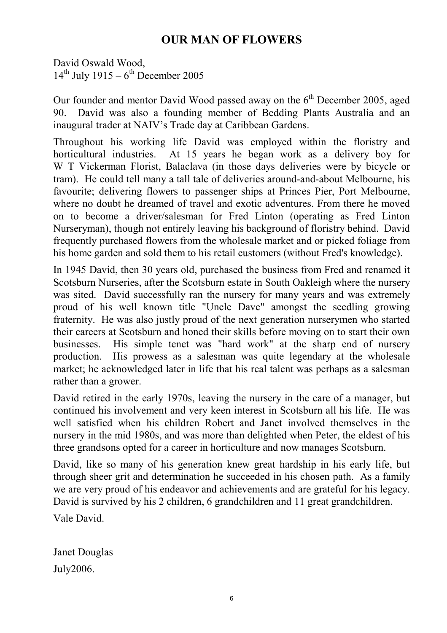# **OUR MAN OF FLOWERS**

David Oswald Wood,  $14^{th}$  July 1915 – 6<sup>th</sup> December 2005

Our founder and mentor David Wood passed away on the  $6<sup>th</sup>$  December 2005, aged 90. David was also a founding member of Bedding Plants Australia and an inaugural trader at NAIV's Trade day at Caribbean Gardens.

Throughout his working life David was employed within the floristry and horticultural industries. At 15 years he began work as a delivery boy for W T Vickerman Florist, Balaclava (in those days deliveries were by bicycle or tram). He could tell many a tall tale of deliveries around-and-about Melbourne, his favourite; delivering flowers to passenger ships at Princes Pier, Port Melbourne, where no doubt he dreamed of travel and exotic adventures. From there he moved on to become a driver/salesman for Fred Linton (operating as Fred Linton Nurseryman), though not entirely leaving his background of floristry behind. David frequently purchased flowers from the wholesale market and or picked foliage from his home garden and sold them to his retail customers (without Fred's knowledge).

In 1945 David, then 30 years old, purchased the business from Fred and renamed it Scotsburn Nurseries, after the Scotsburn estate in South Oakleigh where the nursery was sited. David successfully ran the nursery for many years and was extremely proud of his well known title "Uncle Dave" amongst the seedling growing fraternity. He was also justly proud of the next generation nurserymen who started their careers at Scotsburn and honed their skills before moving on to start their own businesses. His simple tenet was "hard work" at the sharp end of nursery production. His prowess as a salesman was quite legendary at the wholesale market; he acknowledged later in life that his real talent was perhaps as a salesman rather than a grower.

David retired in the early 1970s, leaving the nursery in the care of a manager, but continued his involvement and very keen interest in Scotsburn all his life. He was well satisfied when his children Robert and Janet involved themselves in the nursery in the mid 1980s, and was more than delighted when Peter, the eldest of his three grandsons opted for a career in horticulture and now manages Scotsburn.

David, like so many of his generation knew great hardship in his early life, but through sheer grit and determination he succeeded in his chosen path. As a family we are very proud of his endeavor and achievements and are grateful for his legacy. David is survived by his 2 children, 6 grandchildren and 11 great grandchildren.

Vale David.

Janet Douglas July2006.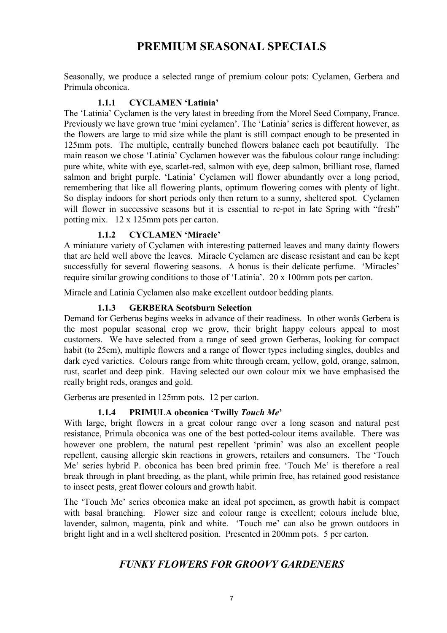# **PREMIUM SEASONAL SPECIALS**

Seasonally, we produce a selected range of premium colour pots: Cyclamen, Gerbera and Primula obconica.

### **1.1.1 CYCLAMEN 'Latinia'**

The 'Latinia' Cyclamen is the very latest in breeding from the Morel Seed Company, France. Previously we have grown true 'mini cyclamen'. The 'Latinia' series is different however, as the flowers are large to mid size while the plant is still compact enough to be presented in 125mm pots. The multiple, centrally bunched flowers balance each pot beautifully. The main reason we chose 'Latinia' Cyclamen however was the fabulous colour range including: pure white, white with eye, scarlet-red, salmon with eye, deep salmon, brilliant rose, flamed salmon and bright purple. 'Latinia' Cyclamen will flower abundantly over a long period, remembering that like all flowering plants, optimum flowering comes with plenty of light. So display indoors for short periods only then return to a sunny, sheltered spot. Cyclamen will flower in successive seasons but it is essential to re-pot in late Spring with "fresh" potting mix. 12 x 125mm pots per carton.

### **1.1.2 CYCLAMEN 'Miracle'**

A miniature variety of Cyclamen with interesting patterned leaves and many dainty flowers that are held well above the leaves. Miracle Cyclamen are disease resistant and can be kept successfully for several flowering seasons. A bonus is their delicate perfume. 'Miracles' require similar growing conditions to those of 'Latinia'. 20 x 100mm pots per carton.

Miracle and Latinia Cyclamen also make excellent outdoor bedding plants.

### **1.1.3 GERBERA Scotsburn Selection**

Demand for Gerberas begins weeks in advance of their readiness. In other words Gerbera is the most popular seasonal crop we grow, their bright happy colours appeal to most customers. We have selected from a range of seed grown Gerberas, looking for compact habit (to 25cm), multiple flowers and a range of flower types including singles, doubles and dark eyed varieties. Colours range from white through cream, yellow, gold, orange, salmon, rust, scarlet and deep pink. Having selected our own colour mix we have emphasised the really bright reds, oranges and gold.

Gerberas are presented in 125mm pots. 12 per carton.

### **1.1.4 PRIMULA obconica 'Twilly** *Touch Me***'**

With large, bright flowers in a great colour range over a long season and natural pest resistance, Primula obconica was one of the best potted-colour items available. There was however one problem, the natural pest repellent 'primin' was also an excellent people repellent, causing allergic skin reactions in growers, retailers and consumers. The 'Touch Me' series hybrid P. obconica has been bred primin free. 'Touch Me' is therefore a real break through in plant breeding, as the plant, while primin free, has retained good resistance to insect pests, great flower colours and growth habit.

The 'Touch Me' series obconica make an ideal pot specimen, as growth habit is compact with basal branching. Flower size and colour range is excellent; colours include blue, lavender, salmon, magenta, pink and white. 'Touch me' can also be grown outdoors in bright light and in a well sheltered position. Presented in 200mm pots. 5 per carton.

### *FUNKY FLOWERS FOR GROOVY GARDENERS*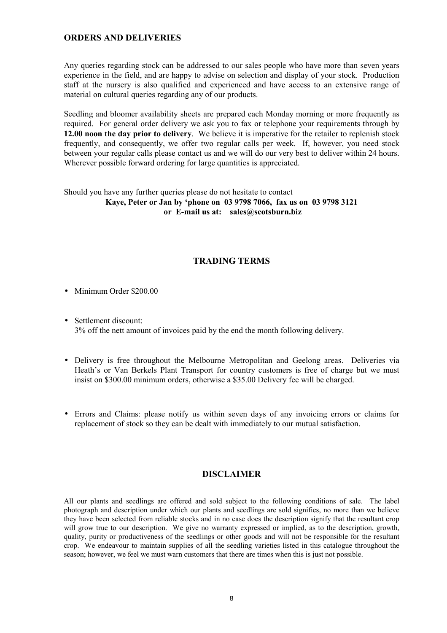### **ORDERS AND DELIVERIES**

Any queries regarding stock can be addressed to our sales people who have more than seven years experience in the field, and are happy to advise on selection and display of your stock. Production staff at the nursery is also qualified and experienced and have access to an extensive range of material on cultural queries regarding any of our products.

Seedling and bloomer availability sheets are prepared each Monday morning or more frequently as required. For general order delivery we ask you to fax or telephone your requirements through by **12.00 noon the day prior to delivery**. We believe it is imperative for the retailer to replenish stock frequently, and consequently, we offer two regular calls per week. If, however, you need stock between your regular calls please contact us and we will do our very best to deliver within 24 hours. Wherever possible forward ordering for large quantities is appreciated.

#### Should you have any further queries please do not hesitate to contact **Kaye, Peter or Jan by 'phone on 03 9798 7066, fax us on 03 9798 3121 or E-mail us at: sales@scotsburn.biz**

### **TRADING TERMS**

- Minimum Order \$200.00
- Settlement discount: 3% off the nett amount of invoices paid by the end the month following delivery.
- Delivery is free throughout the Melbourne Metropolitan and Geelong areas. Deliveries via Heath's or Van Berkels Plant Transport for country customers is free of charge but we must insist on \$300.00 minimum orders, otherwise a \$35.00 Delivery fee will be charged.
- Errors and Claims: please notify us within seven days of any invoicing errors or claims for replacement of stock so they can be dealt with immediately to our mutual satisfaction.

### **DISCLAIMER**

All our plants and seedlings are offered and sold subject to the following conditions of sale. The label photograph and description under which our plants and seedlings are sold signifies, no more than we believe they have been selected from reliable stocks and in no case does the description signify that the resultant crop will grow true to our description. We give no warranty expressed or implied, as to the description, growth, quality, purity or productiveness of the seedlings or other goods and will not be responsible for the resultant crop. We endeavour to maintain supplies of all the seedling varieties listed in this catalogue throughout the season; however, we feel we must warn customers that there are times when this is just not possible.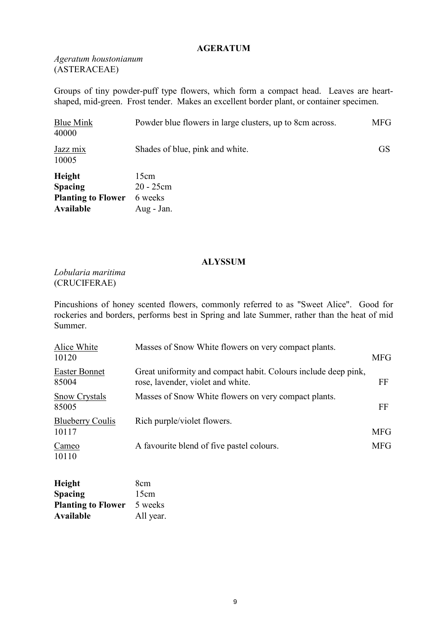### **AGERATUM**

*Ageratum houstonianum* (ASTERACEAE)

Groups of tiny powder-puff type flowers, which form a compact head. Leaves are heartshaped, mid-green. Frost tender. Makes an excellent border plant, or container specimen.

| <b>Blue Mink</b><br>40000                                                        | Powder blue flowers in large clusters, up to 8cm across. | <b>MFG</b> |
|----------------------------------------------------------------------------------|----------------------------------------------------------|------------|
| Jazz mix<br>10005                                                                | Shades of blue, pink and white.                          | <b>GS</b>  |
| <b>Height</b><br><b>Spacing</b><br><b>Planting to Flower</b><br><b>Available</b> | 15cm<br>$20 - 25$ cm<br>6 weeks<br>Aug - Jan.            |            |

#### **ALYSSUM**

*Lobularia maritima*  (CRUCIFERAE)

Pincushions of honey scented flowers, commonly referred to as "Sweet Alice". Good for rockeries and borders, performs best in Spring and late Summer, rather than the heat of mid Summer.

| Alice White<br>10120             | Masses of Snow White flowers on very compact plants.                                                | <b>MFG</b> |
|----------------------------------|-----------------------------------------------------------------------------------------------------|------------|
| Easter Bonnet<br>85004           | Great uniformity and compact habit. Colours include deep pink,<br>rose, lavender, violet and white. | FF         |
| <b>Snow Crystals</b><br>85005    | Masses of Snow White flowers on very compact plants.                                                | FF         |
| <b>Blueberry Coulis</b><br>10117 | Rich purple/violet flowers.                                                                         | <b>MFG</b> |
| Cameo<br>10110                   | A favourite blend of five pastel colours.                                                           | <b>MFG</b> |

| <b>Height</b>             | 8 <sub>cm</sub> |
|---------------------------|-----------------|
| <b>Spacing</b>            | 15cm            |
| <b>Planting to Flower</b> | 5 weeks         |
| Available                 | All year.       |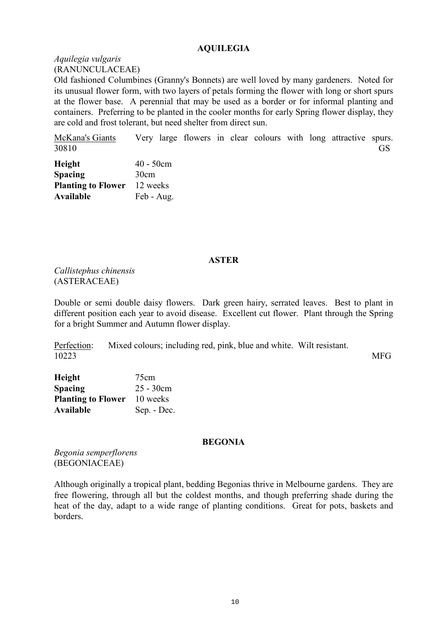### **AQUILEGIA**

*Aquilegia vulgaris*  (RANUNCULACEAE)

Old fashioned Columbines (Granny's Bonnets) are well loved by many gardeners. Noted for its unusual flower form, with two layers of petals forming the flower with long or short spurs at the flower base. A perennial that may be used as a border or for informal planting and containers. Preferring to be planted in the cooler months for early Spring flower display, they are cold and frost tolerant, but need shelter from direct sun.

McKana's Giants Very large flowers in clear colours with long attractive spurs. 30810 GS

| Height                    | $40 - 50$ cm |
|---------------------------|--------------|
| <b>Spacing</b>            | 30cm         |
| <b>Planting to Flower</b> | 12 weeks     |
| Available                 | Feb - Aug.   |

#### **ASTER**

*Callistephus chinensis* (ASTERACEAE)

Double or semi double daisy flowers. Dark green hairy, serrated leaves. Best to plant in different position each year to avoid disease. Excellent cut flower. Plant through the Spring for a bright Summer and Autumn flower display.

Perfection: Mixed colours; including red, pink, blue and white. Wilt resistant. 10223 MFG

**Height** 75cm **Spacing** 25 - 30cm **Planting to Flower** 10 weeks **Available** Sep. - Dec.

#### **BEGONIA**

*Begonia semperflorens* (BEGONIACEAE)

Although originally a tropical plant, bedding Begonias thrive in Melbourne gardens. They are free flowering, through all but the coldest months, and though preferring shade during the heat of the day, adapt to a wide range of planting conditions. Great for pots, baskets and borders.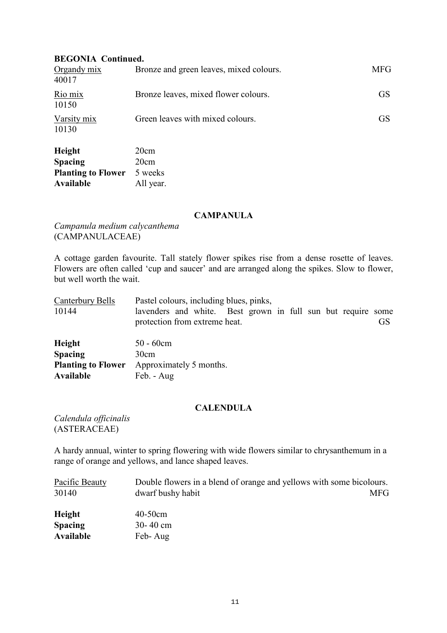### **BEGONIA Continued.**

| Organdy $mix$<br>40017 | Bronze and green leaves, mixed colours. | <b>MFG</b> |
|------------------------|-----------------------------------------|------------|
| Rio mix<br>10150       | Bronze leaves, mixed flower colours.    | <b>GS</b>  |
| Varsity mix<br>10130   | Green leaves with mixed colours.        | <b>GS</b>  |
| $\mathbf{H}$ .:        | $\Omega_{\text{max}}$                   |            |

| Height                    | 20cm      |
|---------------------------|-----------|
| <b>Spacing</b>            | 20cm      |
| <b>Planting to Flower</b> | 5 weeks   |
| Available                 | All year. |

#### **CAMPANULA**

*Campanula medium calycanthema*  (CAMPANULACEAE)

A cottage garden favourite. Tall stately flower spikes rise from a dense rosette of leaves. Flowers are often called 'cup and saucer' and are arranged along the spikes. Slow to flower, but well worth the wait.

| Canterbury Bells                              | Pastel colours, including blues, pinks,                                                       |    |
|-----------------------------------------------|-----------------------------------------------------------------------------------------------|----|
| 10144                                         | lavenders and white. Best grown in full sun but require some<br>protection from extreme heat. | GS |
| <b>Height</b>                                 | $50 - 60$ cm                                                                                  |    |
| <b>Spacing</b>                                | 30cm                                                                                          |    |
| <b>Planting to Flower</b><br><b>Available</b> | Approximately 5 months.<br>Feb. - Aug                                                         |    |

### **CALENDULA**

*Calendula officinalis*  (ASTERACEAE)

A hardy annual, winter to spring flowering with wide flowers similar to chrysanthemum in a range of orange and yellows, and lance shaped leaves.

| Pacific Beauty   | Double flowers in a blend of orange and yellows with some bicolours. |      |
|------------------|----------------------------------------------------------------------|------|
| 30140            | dwarf bushy habit                                                    | MFG. |
| <b>Height</b>    | $40-50$ cm                                                           |      |
| <b>Spacing</b>   | $30 - 40$ cm                                                         |      |
| <b>Available</b> | Feb-Aug                                                              |      |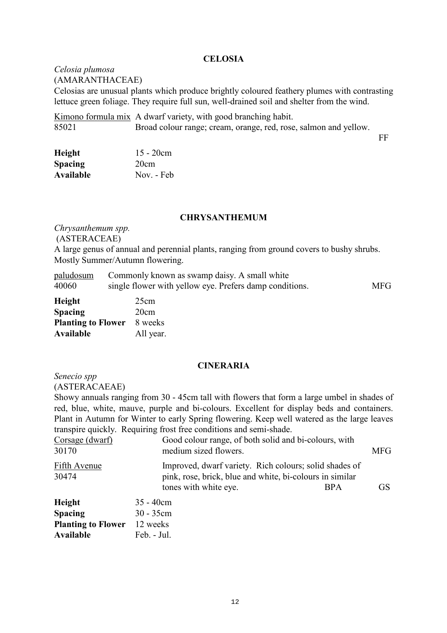#### **CELOSIA**

*Celosia plumosa*  (AMARANTHACEAE) Celosias are unusual plants which produce brightly coloured feathery plumes with contrasting lettuce green foliage. They require full sun, well-drained soil and shelter from the wind.

Kimono formula mix A dwarf variety, with good branching habit. 85021 Broad colour range; cream, orange, red, rose, salmon and yellow.

FF

| Height         | $15 - 20cm$ |
|----------------|-------------|
| <b>Spacing</b> | 20cm        |
| Available      | Nov. - Feb  |

#### **CHRYSANTHEMUM**

*Chrysanthemum spp.*  (ASTERACEAE)

A large genus of annual and perennial plants, ranging from ground covers to bushy shrubs. Mostly Summer/Autumn flowering.

|       | paludosum Commonly known as swamp daisy. A small white  |            |
|-------|---------------------------------------------------------|------------|
| 40060 | single flower with yellow eye. Prefers damp conditions. | <b>MFG</b> |

| <b>Height</b>             | 25cm      |
|---------------------------|-----------|
| <b>Spacing</b>            | 20cm      |
| <b>Planting to Flower</b> | 8 weeks   |
| <b>Available</b>          | All year. |

#### **CINERARIA**

*Senecio spp* 

(ASTERACAEAE)

Showy annuals ranging from 30 - 45cm tall with flowers that form a large umbel in shades of red, blue, white, mauve, purple and bi-colours. Excellent for display beds and containers. Plant in Autumn for Winter to early Spring flowering. Keep well watered as the large leaves transpire quickly. Requiring frost free conditions and semi-shade.

| Corsage (dwarf)<br>30170 | Good colour range, of both solid and bi-colours, with<br>medium sized flowers.                                     | <b>MFG</b>      |
|--------------------------|--------------------------------------------------------------------------------------------------------------------|-----------------|
| Fifth Avenue<br>30474    | Improved, dwarf variety. Rich colours; solid shades of<br>pink, rose, brick, blue and white, bi-colours in similar |                 |
|                          | tones with white eye.<br><b>BPA</b>                                                                                | GS <sup>3</sup> |

| Height                    | $35 - 40$ cm |
|---------------------------|--------------|
| <b>Spacing</b>            | $30 - 35$ cm |
| <b>Planting to Flower</b> | 12 weeks     |
| Available                 | Feb. - Jul.  |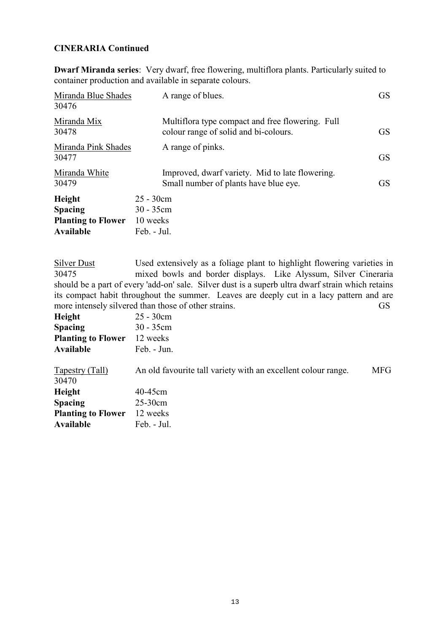### **CINERARIA Continued**

**Dwarf Miranda series**: Very dwarf, free flowering, multiflora plants. Particularly suited to container production and available in separate colours.

| Miranda Blue Shades<br>30476                                       | A range of blues.                                                                         | <b>GS</b> |
|--------------------------------------------------------------------|-------------------------------------------------------------------------------------------|-----------|
| Miranda Mix<br>30478                                               | Multiflora type compact and free flowering. Full<br>colour range of solid and bi-colours. | <b>GS</b> |
| Miranda Pink Shades<br>30477                                       | A range of pinks.                                                                         | <b>GS</b> |
| Miranda White<br>30479                                             | Improved, dwarf variety. Mid to late flowering.<br>Small number of plants have blue eye.  | <b>GS</b> |
| Height<br><b>Spacing</b><br><b>Planting to Flower</b><br>Available | $25 - 30cm$<br>$30 - 35$ cm<br>10 weeks<br>Feb. - Jul.                                    |           |

Silver Dust Used extensively as a foliage plant to highlight flowering varieties in 30475 mixed bowls and border displays. Like Alyssum, Silver Cineraria should be a part of every 'add-on' sale. Silver dust is a superb ultra dwarf strain which retains its compact habit throughout the summer. Leaves are deeply cut in a lacy pattern and are more intensely silvered than those of other strains. GS

| Height                    | $25 - 30$ cm                                                  |     |
|---------------------------|---------------------------------------------------------------|-----|
| <b>Spacing</b>            | $30 - 35$ cm                                                  |     |
| <b>Planting to Flower</b> | 12 weeks                                                      |     |
| Available                 | Feb. - Jun.                                                   |     |
|                           |                                                               |     |
| <b>Tapestry (Tall)</b>    | An old favourite tall variety with an excellent colour range. | MFG |
| 30470                     |                                                               |     |
| Height                    | 40-45cm                                                       |     |
| <b>Spacing</b>            | $25-30$ cm                                                    |     |
| <b>Planting to Flower</b> | 12 weeks                                                      |     |
| Available                 | Feb. - Jul.                                                   |     |
|                           |                                                               |     |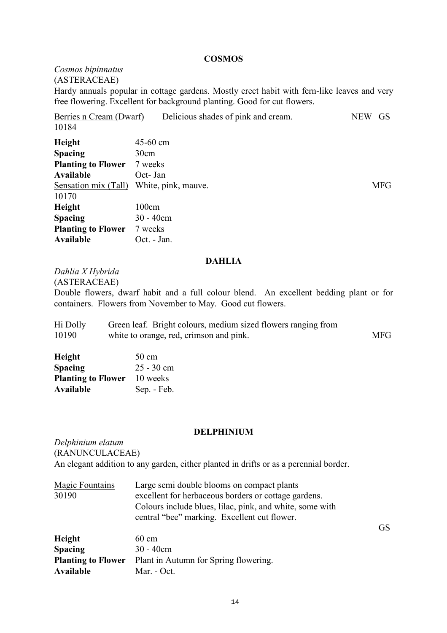#### **COSMOS**

*Cosmos bipinnatus* (ASTERACEAE)

Hardy annuals popular in cottage gardens. Mostly erect habit with fern-like leaves and very free flowering. Excellent for background planting. Good for cut flowers.

Berries n Cream (Dwarf) Delicious shades of pink and cream. NEW GS 10184

| Height                    | 45-60 cm            |            |
|---------------------------|---------------------|------------|
| <b>Spacing</b>            | 30cm                |            |
| <b>Planting to Flower</b> | 7 weeks             |            |
| Available                 | Oct- Jan            |            |
| Sensation mix (Tall)      | White, pink, mauve. | <b>MFG</b> |
| 10170                     |                     |            |
| Height                    | 100cm               |            |
| <b>Spacing</b>            | $30 - 40$ cm        |            |
| <b>Planting to Flower</b> | 7 weeks             |            |
| Available                 | Oct. - Jan.         |            |

GS

#### **DAHLIA**

*Dahlia X Hybrida*

(ASTERACEAE)

Double flowers, dwarf habit and a full colour blend. An excellent bedding plant or for containers. Flowers from November to May. Good cut flowers.

| Hi Dolly | Green leaf. Bright colours, medium sized flowers ranging from |            |
|----------|---------------------------------------------------------------|------------|
| 10190    | white to orange, red, crimson and pink.                       | <b>MFG</b> |

| Height                    | $50 \text{ cm}$ |
|---------------------------|-----------------|
| <b>Spacing</b>            | $25 - 30$ cm    |
| <b>Planting to Flower</b> | 10 weeks        |
| Available                 | Sep. - Feb.     |

#### **DELPHINIUM**

*Delphinium elatum*  (RANUNCULACEAE) An elegant addition to any garden, either planted in drifts or as a perennial border.

| <b>Magic Fountains</b> | Large semi double blooms on compact plants               |
|------------------------|----------------------------------------------------------|
| 30190                  | excellent for herbaceous borders or cottage gardens.     |
|                        | Colours include blues, lilac, pink, and white, some with |
|                        | central "bee" marking. Excellent cut flower.             |

**Height** 60 cm **Spacing** 30 - 40cm **Planting to Flower** Plant in Autumn for Spring flowering. **Available** Mar. - Oct.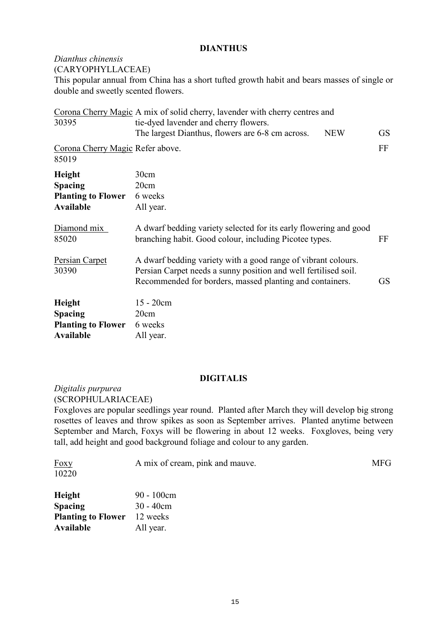### **DIANTHUS**

### *Dianthus chinensis*

(CARYOPHYLLACEAE)

This popular annual from China has a short tufted growth habit and bears masses of single or double and sweetly scented flowers.

| 30395                                                                     | Corona Cherry Magic A mix of solid cherry, lavender with cherry centres and<br>tie-dyed lavender and cherry flowers.                                                                                      |           |
|---------------------------------------------------------------------------|-----------------------------------------------------------------------------------------------------------------------------------------------------------------------------------------------------------|-----------|
|                                                                           | The largest Dianthus, flowers are 6-8 cm across.<br><b>NEW</b>                                                                                                                                            | <b>GS</b> |
| Corona Cherry Magic Refer above.<br>85019                                 |                                                                                                                                                                                                           | FF        |
| Height<br><b>Spacing</b><br><b>Planting to Flower</b><br><b>Available</b> | 30cm<br>20cm<br>6 weeks<br>All year.                                                                                                                                                                      |           |
| Diamond mix<br>85020                                                      | A dwarf bedding variety selected for its early flowering and good<br>branching habit. Good colour, including Picotee types.<br>FF                                                                         |           |
| Persian Carpet<br>30390                                                   | A dwarf bedding variety with a good range of vibrant colours.<br>Persian Carpet needs a sunny position and well fertilised soil.<br>Recommended for borders, massed planting and containers.<br><b>GS</b> |           |
| Height<br><b>Spacing</b><br><b>Planting to Flower</b><br><b>Available</b> | 15 - 20cm<br>20cm<br>6 weeks<br>All year.                                                                                                                                                                 |           |

### **DIGITALIS**

*Digitalis purpurea*  (SCROPHULARIACEAE)

Foxgloves are popular seedlings year round. Planted after March they will develop big strong rosettes of leaves and throw spikes as soon as September arrives. Planted anytime between September and March, Foxys will be flowering in about 12 weeks. Foxgloves, being very tall, add height and good background foliage and colour to any garden.

| <b>Foxy</b>                        | A mix of cream, pink and mauve. | <b>MFG</b> |
|------------------------------------|---------------------------------|------------|
| 10220                              |                                 |            |
| <b>Height</b>                      | $90 - 100$ cm                   |            |
| <b>Spacing</b>                     | $30 - 40$ cm                    |            |
| <b>Planting to Flower</b> 12 weeks |                                 |            |
|                                    |                                 |            |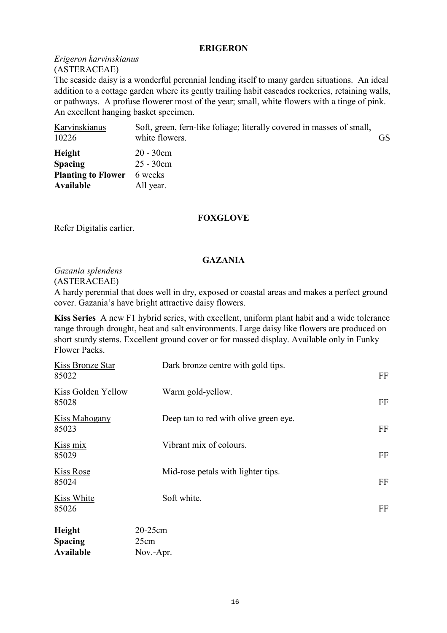### **ERIGERON**

### *Erigeron karvinskianus*  (ASTERACEAE)

The seaside daisy is a wonderful perennial lending itself to many garden situations. An ideal addition to a cottage garden where its gently trailing habit cascades rockeries, retaining walls, or pathways. A profuse flowerer most of the year; small, white flowers with a tinge of pink. An excellent hanging basket specimen.

| Karvinskianus<br>10226                                             | Soft, green, fern-like foliage; literally covered in masses of small,<br>white flowers. | <b>GS</b> |
|--------------------------------------------------------------------|-----------------------------------------------------------------------------------------|-----------|
| Height<br><b>Spacing</b><br><b>Planting to Flower</b><br>Available | $20 - 30$ cm<br>$25 - 30$ cm<br>6 weeks<br>All year.                                    |           |

### **FOXGLOVE**

Refer Digitalis earlier.

### **GAZANIA**

### *Gazania splendens*

(ASTERACEAE)

A hardy perennial that does well in dry, exposed or coastal areas and makes a perfect ground cover. Gazania's have bright attractive daisy flowers.

**Kiss Series** A new F1 hybrid series, with excellent, uniform plant habit and a wide tolerance range through drought, heat and salt environments. Large daisy like flowers are produced on short sturdy stems. Excellent ground cover or for massed display. Available only in Funky Flower Packs.

| Kiss Bronze Star<br>85022          | Dark bronze centre with gold tips.    | FF |
|------------------------------------|---------------------------------------|----|
| <b>Kiss Golden Yellow</b><br>85028 | Warm gold-yellow.                     | FF |
| <b>Kiss Mahogany</b><br>85023      | Deep tan to red with olive green eye. | FF |
| Kiss mix<br>85029                  | Vibrant mix of colours.               | FF |
| <b>Kiss Rose</b><br>85024          | Mid-rose petals with lighter tips.    | FF |
| Kiss White<br>85026                | Soft white.                           | FF |
| Height<br><b>Spacing</b>           | 20-25cm<br>25cm                       |    |
| <b>Available</b>                   | Nov.-Apr.                             |    |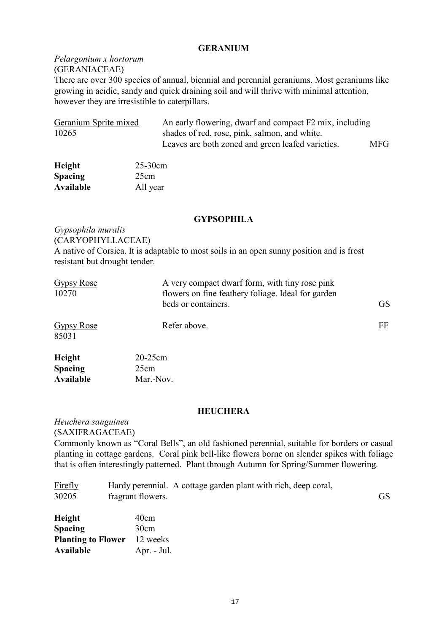### **GERANIUM**

### *Pelargonium x hortorum*  (GERANIACEAE)

There are over 300 species of annual, biennial and perennial geraniums. Most geraniums like growing in acidic, sandy and quick draining soil and will thrive with minimal attention, however they are irresistible to caterpillars.

| Geranium Sprite mixed | An early flowering, dwarf and compact F2 mix, including |            |
|-----------------------|---------------------------------------------------------|------------|
| 10265                 | shades of red, rose, pink, salmon, and white.           |            |
|                       | Leaves are both zoned and green leafed varieties.       | <b>MFG</b> |

| Height         | $25-30cm$ |
|----------------|-----------|
| <b>Spacing</b> | 25cm      |
| Available      | All year  |

### **GYPSOPHILA**

*Gypsophila muralis*  (CARYOPHYLLACEAE) A native of Corsica. It is adaptable to most soils in an open sunny position and is frost resistant but drought tender.

| Gypsy Rose<br>10270      | A very compact dwarf form, with tiny rose pink<br>flowers on fine feathery foliage. Ideal for garden<br>beds or containers. | <b>GS</b> |
|--------------------------|-----------------------------------------------------------------------------------------------------------------------------|-----------|
| Gypsy Rose<br>85031      | Refer above.                                                                                                                | FF        |
| Height<br><b>Spacing</b> | $20-25$ cm<br>25cm                                                                                                          |           |

#### **HEUCHERA**

*Heuchera sanguinea*  (SAXIFRAGACEAE)

**Available** Mar.-Nov.

Commonly known as "Coral Bells", an old fashioned perennial, suitable for borders or casual planting in cottage gardens. Coral pink bell-like flowers borne on slender spikes with foliage that is often interestingly patterned. Plant through Autumn for Spring/Summer flowering.

| <u>Firefly</u> |                   | Hardy perennial. A cottage garden plant with rich, deep coral, |  |
|----------------|-------------------|----------------------------------------------------------------|--|
| 30205          | fragrant flowers. |                                                                |  |

| Height                    | 40cm        |
|---------------------------|-------------|
| Spacing                   | 30cm        |
| <b>Planting to Flower</b> | 12 weeks    |
| Available                 | Apr. - Jul. |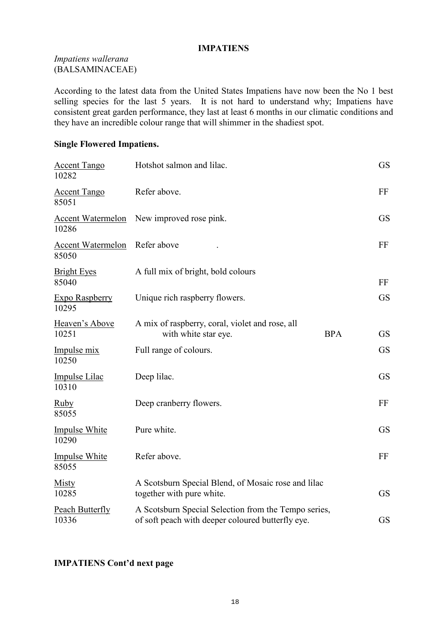### **IMPATIENS**

### *Impatiens wallerana* (BALSAMINACEAE)

According to the latest data from the United States Impatiens have now been the No 1 best selling species for the last 5 years. It is not hard to understand why; Impatiens have consistent great garden performance, they last at least 6 months in our climatic conditions and they have an incredible colour range that will shimmer in the shadiest spot.

### **Single Flowered Impatiens.**

| <b>Accent Tango</b><br>10282      | Hotshot salmon and lilac.                                                                                 |            | <b>GS</b> |
|-----------------------------------|-----------------------------------------------------------------------------------------------------------|------------|-----------|
| <b>Accent Tango</b><br>85051      | Refer above.                                                                                              |            | FF        |
| <b>Accent Watermelon</b><br>10286 | New improved rose pink.                                                                                   |            | <b>GS</b> |
| <b>Accent Watermelon</b><br>85050 | Refer above                                                                                               |            | FF        |
| <b>Bright Eyes</b><br>85040       | A full mix of bright, bold colours                                                                        |            | FF        |
| Expo Raspberry<br>10295           | Unique rich raspberry flowers.                                                                            |            | <b>GS</b> |
| Heaven's Above<br>10251           | A mix of raspberry, coral, violet and rose, all<br>with white star eye.                                   | <b>BPA</b> | <b>GS</b> |
| Impulse mix<br>10250              | Full range of colours.                                                                                    |            | <b>GS</b> |
| <b>Impulse Lilac</b><br>10310     | Deep lilac.                                                                                               |            | <b>GS</b> |
| <b>Ruby</b><br>85055              | Deep cranberry flowers.                                                                                   |            | FF        |
| <b>Impulse White</b><br>10290     | Pure white.                                                                                               |            | <b>GS</b> |
| <b>Impulse White</b><br>85055     | Refer above.                                                                                              |            | FF        |
| <b>Misty</b><br>10285             | A Scotsburn Special Blend, of Mosaic rose and lilac<br>together with pure white.                          |            | <b>GS</b> |
| <b>Peach Butterfly</b><br>10336   | A Scotsburn Special Selection from the Tempo series,<br>of soft peach with deeper coloured butterfly eye. |            | <b>GS</b> |

### **IMPATIENS Cont'd next page**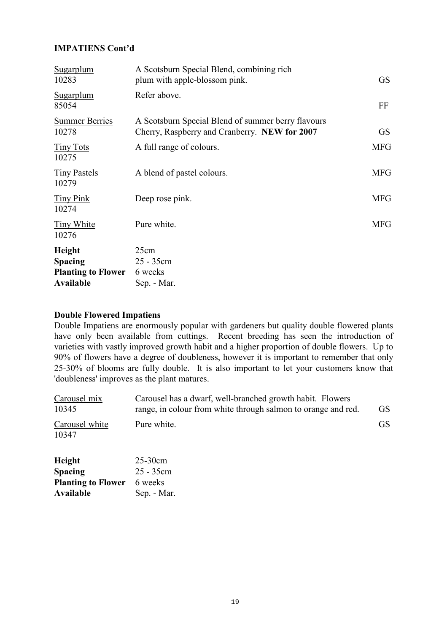### **IMPATIENS Cont'd**

| <b>Sugarplum</b><br>10283                                                 | A Scotsburn Special Blend, combining rich<br>plum with apple-blossom pink.                          | <b>GS</b>  |
|---------------------------------------------------------------------------|-----------------------------------------------------------------------------------------------------|------------|
| Sugarplum<br>85054                                                        | Refer above.                                                                                        | FF         |
| <b>Summer Berries</b><br>10278                                            | A Scotsburn Special Blend of summer berry flavours<br>Cherry, Raspberry and Cranberry. NEW for 2007 | <b>GS</b>  |
| <b>Tiny Tots</b><br>10275                                                 | A full range of colours.                                                                            | <b>MFG</b> |
| <b>Tiny Pastels</b><br>10279                                              | A blend of pastel colours.                                                                          | <b>MFG</b> |
| <b>Tiny Pink</b><br>10274                                                 | Deep rose pink.                                                                                     | <b>MFG</b> |
| <b>Tiny White</b><br>10276                                                | Pure white.                                                                                         | <b>MFG</b> |
| Height<br><b>Spacing</b><br><b>Planting to Flower</b><br><b>Available</b> | 25cm<br>25 - 35cm<br>6 weeks<br>Sep. - Mar.                                                         |            |

### **Double Flowered Impatiens**

Double Impatiens are enormously popular with gardeners but quality double flowered plants have only been available from cuttings. Recent breeding has seen the introduction of varieties with vastly improved growth habit and a higher proportion of double flowers. Up to 90% of flowers have a degree of doubleness, however it is important to remember that only 25-30% of blooms are fully double. It is also important to let your customers know that 'doubleness' improves as the plant matures.

| Carousel mix<br>10345   | Carousel has a dwarf, well-branched growth habit. Flowers<br>range, in colour from white through salmon to orange and red. | <b>GS</b> |
|-------------------------|----------------------------------------------------------------------------------------------------------------------------|-----------|
| Carousel white<br>10347 | Pure white.                                                                                                                | <b>GS</b> |
| <b>Height</b>           | $25-30cm$                                                                                                                  |           |

| <b>Spacing</b>                    | 25 - 35cm   |
|-----------------------------------|-------------|
| <b>Planting to Flower</b> 6 weeks |             |
| Available                         | Sep. - Mar. |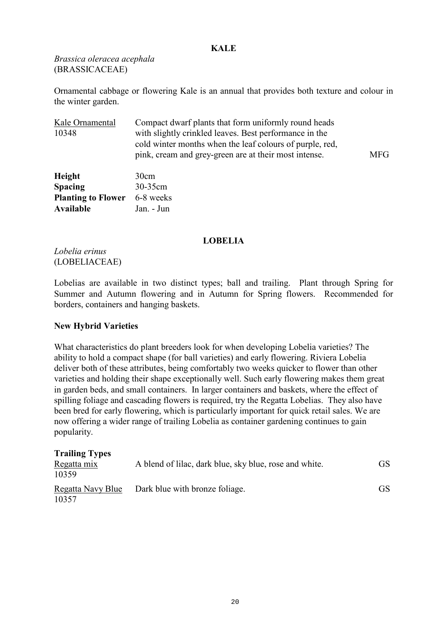### **KALE**

*Brassica oleracea acephala* (BRASSICACEAE)

Ornamental cabbage or flowering Kale is an annual that provides both texture and colour in the winter garden.

| Kale Ornamental           | Compact dwarf plants that form uniformly round heads                                                                                                                        |            |
|---------------------------|-----------------------------------------------------------------------------------------------------------------------------------------------------------------------------|------------|
| 10348                     | with slightly crinkled leaves. Best performance in the<br>cold winter months when the leaf colours of purple, red,<br>pink, cream and grey-green are at their most intense. | <b>MFG</b> |
| Height                    | 30cm                                                                                                                                                                        |            |
| <b>Spacing</b>            | 30-35cm                                                                                                                                                                     |            |
| <b>Planting to Flower</b> | 6-8 weeks                                                                                                                                                                   |            |
| Available                 | Jan. - Jun                                                                                                                                                                  |            |

### **LOBELIA**

*Lobelia erinus* (LOBELIACEAE)

Lobelias are available in two distinct types; ball and trailing. Plant through Spring for Summer and Autumn flowering and in Autumn for Spring flowers. Recommended for borders, containers and hanging baskets.

### **New Hybrid Varieties**

What characteristics do plant breeders look for when developing Lobelia varieties? The ability to hold a compact shape (for ball varieties) and early flowering. Riviera Lobelia deliver both of these attributes, being comfortably two weeks quicker to flower than other varieties and holding their shape exceptionally well. Such early flowering makes them great in garden beds, and small containers. In larger containers and baskets, where the effect of spilling foliage and cascading flowers is required, try the Regatta Lobelias. They also have been bred for early flowering, which is particularly important for quick retail sales. We are now offering a wider range of trailing Lobelia as container gardening continues to gain popularity.

| <b>Trailing Types</b><br>Regatta mix<br>10359 | A blend of lilac, dark blue, sky blue, rose and white. | GS. |
|-----------------------------------------------|--------------------------------------------------------|-----|
| Regatta Navy Blue<br>10357                    | Dark blue with bronze foliage.                         | GS. |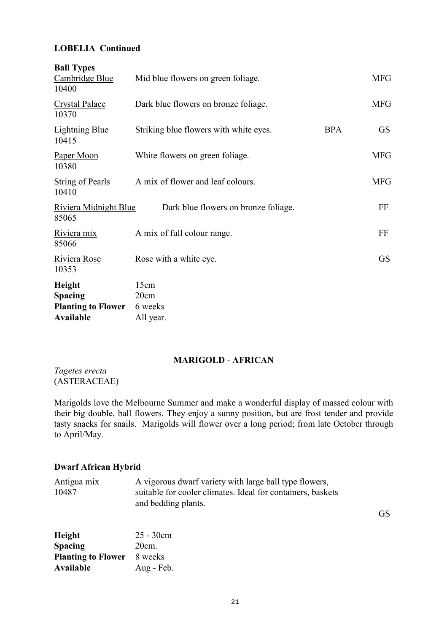### **LOBELIA Continued**

| <b>Ball Types</b><br>Cambridge Blue<br>10400                              | Mid blue flowers on green foliage.     |            | <b>MFG</b> |
|---------------------------------------------------------------------------|----------------------------------------|------------|------------|
| <b>Crystal Palace</b><br>10370                                            | Dark blue flowers on bronze foliage.   |            | <b>MFG</b> |
| <b>Lightning Blue</b><br>10415                                            | Striking blue flowers with white eyes. | <b>BPA</b> | <b>GS</b>  |
| Paper Moon<br>10380                                                       | White flowers on green foliage.        |            | <b>MFG</b> |
| String of Pearls<br>10410                                                 | A mix of flower and leaf colours.      |            | <b>MFG</b> |
| <b>Riviera Midnight Blue</b><br>85065                                     | Dark blue flowers on bronze foliage.   |            | FF         |
| Riviera mix<br>85066                                                      | A mix of full colour range.            |            | FF         |
| Riviera Rose<br>10353                                                     | Rose with a white eye.                 |            | <b>GS</b>  |
| Height<br><b>Spacing</b><br><b>Planting to Flower</b><br><b>Available</b> | 15cm<br>20cm<br>6 weeks<br>All year.   |            |            |

### **MARIGOLD** - **AFRICAN**

*Tagetes erecta* (ASTERACEAE)

Marigolds love the Melbourne Summer and make a wonderful display of massed colour with their big double, ball flowers. They enjoy a sunny position, but are frost tender and provide tasty snacks for snails. Marigolds will flower over a long period; from late October through to April/May.

### **Dwarf African Hybrid**

| <u>Antigua mix</u> | A vigorous dwarf variety with large ball type flowers,      |
|--------------------|-------------------------------------------------------------|
| 10487              | suitable for cooler climates. Ideal for containers, baskets |
|                    | and bedding plants.                                         |

GS

| Height                    | $25 - 30cm$ |
|---------------------------|-------------|
| Spacing                   | $20cm$ .    |
| <b>Planting to Flower</b> | 8 weeks     |
| Available                 | Aug - Feb.  |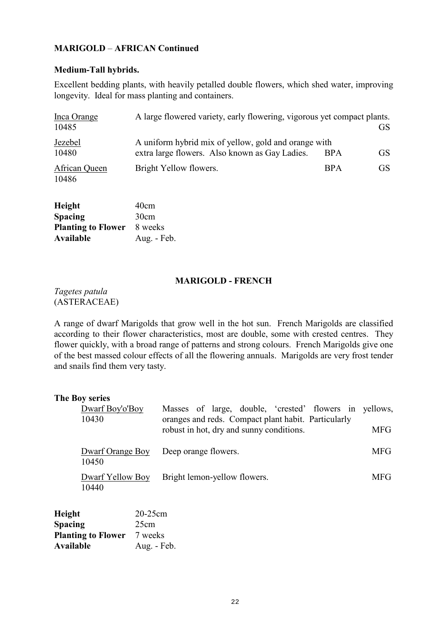### **MARIGOLD** – **AFRICAN Continued**

### **Medium-Tall hybrids.**

Excellent bedding plants, with heavily petalled double flowers, which shed water, improving longevity. Ideal for mass planting and containers.

| Inca Orange<br>10485   | A large flowered variety, early flowering, vigorous yet compact plants.                                |            | GS. |
|------------------------|--------------------------------------------------------------------------------------------------------|------------|-----|
| Jezebel<br>10480       | A uniform hybrid mix of yellow, gold and orange with<br>extra large flowers. Also known as Gay Ladies. | <b>BPA</b> | GS. |
| African Queen<br>10486 | Bright Yellow flowers.                                                                                 | <b>BPA</b> | GS. |

| <b>Height</b>             | 40cm        |
|---------------------------|-------------|
| <b>Spacing</b>            | 30cm        |
| <b>Planting to Flower</b> | 8 weeks     |
| Available                 | Aug. - Feb. |

### **MARIGOLD - FRENCH**

*Tagetes patula* (ASTERACEAE)

A range of dwarf Marigolds that grow well in the hot sun. French Marigolds are classified according to their flower characteristics, most are double, some with crested centres. They flower quickly, with a broad range of patterns and strong colours. French Marigolds give one of the best massed colour effects of all the flowering annuals. Marigolds are very frost tender and snails find them very tasty.

#### **The Boy series**

| Dwarf Boy'o'Boy<br>10430  | Masses of large, double, 'crested' flowers in yellows,<br>oranges and reds. Compact plant habit. Particularly |            |
|---------------------------|---------------------------------------------------------------------------------------------------------------|------------|
|                           | robust in hot, dry and sunny conditions.                                                                      | <b>MFG</b> |
| Dwarf Orange Boy<br>10450 | Deep orange flowers.                                                                                          | <b>MFG</b> |
| Dwarf Yellow Boy<br>10440 | Bright lemon-yellow flowers.                                                                                  | <b>MFG</b> |

| <b>Height</b>             | 20-25cm     |
|---------------------------|-------------|
| <b>Spacing</b>            | 25cm        |
| <b>Planting to Flower</b> | 7 weeks     |
| Available                 | Aug. - Feb. |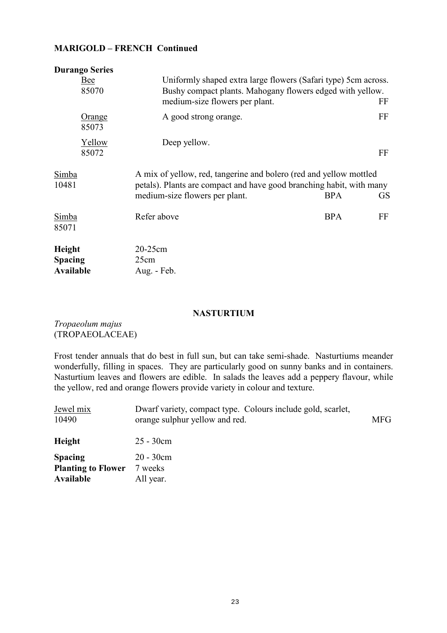### **MARIGOLD – FRENCH Continued**

| <b>Durango Series</b>                        |                                                                                                                                                                              |                         |
|----------------------------------------------|------------------------------------------------------------------------------------------------------------------------------------------------------------------------------|-------------------------|
| Bee<br>85070                                 | Uniformly shaped extra large flowers (Safari type) 5cm across.<br>Bushy compact plants. Mahogany flowers edged with yellow.<br>medium-size flowers per plant.                | FF                      |
| <u>Orange</u><br>85073                       | A good strong orange.                                                                                                                                                        | FF                      |
| Yellow<br>85072                              | Deep yellow.                                                                                                                                                                 | FF                      |
| Simba<br>10481                               | A mix of yellow, red, tangerine and bolero (red and yellow mottled<br>petals). Plants are compact and have good branching habit, with many<br>medium-size flowers per plant. | <b>BPA</b><br><b>GS</b> |
| Simba<br>85071                               | Refer above                                                                                                                                                                  | <b>BPA</b><br>FF        |
| Height<br><b>Spacing</b><br><b>Available</b> | 20-25cm<br>25cm<br>Aug. - Feb.                                                                                                                                               |                         |

### **NASTURTIUM**

*Tropaeolum majus*  (TROPAEOLACEAE)

Frost tender annuals that do best in full sun, but can take semi-shade. Nasturtiums meander wonderfully, filling in spaces. They are particularly good on sunny banks and in containers. Nasturtium leaves and flowers are edible. In salads the leaves add a peppery flavour, while the yellow, red and orange flowers provide variety in colour and texture.

| Jewel mix<br>10490                                       | Dwarf variety, compact type. Colours include gold, scarlet,<br>orange sulphur yellow and red. | <b>MFG</b> |
|----------------------------------------------------------|-----------------------------------------------------------------------------------------------|------------|
| Height                                                   | $25 - 30$ cm                                                                                  |            |
| <b>Spacing</b><br><b>Planting to Flower</b><br>Available | $20 - 30$ cm<br>7 weeks<br>All year.                                                          |            |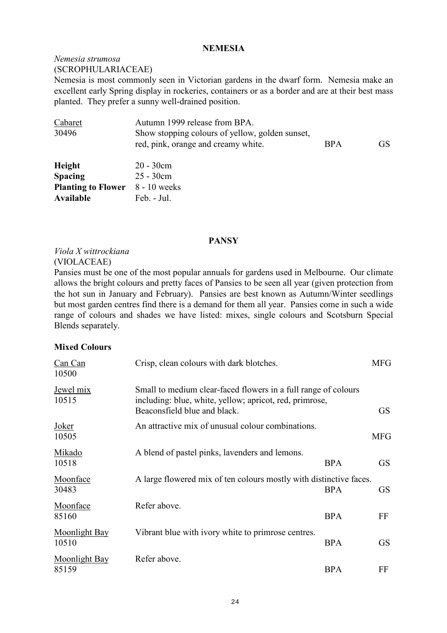#### **NEMESIA**

# *Nemesia strumosa*

(SCROPHULARIACEAE)

Nemesia is most commonly seen in Victorian gardens in the dwarf form. Nemesia make an excellent early Spring display in rockeries, containers or as a border and are at their best mass planted. They prefer a sunny well-drained position.

| Cabaret<br>30496                       | Autumn 1999 release from BPA.<br>Show stopping colours of yellow, golden sunset,<br>red, pink, orange and creamy white. | <b>BPA</b> | <b>GS</b> |
|----------------------------------------|-------------------------------------------------------------------------------------------------------------------------|------------|-----------|
| Height                                 | $20 - 30$ cm                                                                                                            |            |           |
| <b>Spacing</b>                         | $25 - 30$ cm                                                                                                            |            |           |
| <b>Planting to Flower</b> 8 - 10 weeks |                                                                                                                         |            |           |
| Available                              | Feb. - Jul.                                                                                                             |            |           |

### **PANSY**

### *Viola X wittrockiana* (VIOLACEAE)

Pansies must be one of the most popular annuals for gardens used in Melbourne. Our climate allows the bright colours and pretty faces of Pansies to be seen all year (given protection from the hot sun in January and February). Pansies are best known as Autumn/Winter seedlings but most garden centres find there is a demand for them all year. Pansies come in such a wide range of colours and shades we have listed: mixes, single colours and Scotsburn Special Blends separately.

### **Mixed Colours**

| Can Can<br>10500              | Crisp, clean colours with dark blotches.                                                                                                                  |            | <b>MFG</b> |
|-------------------------------|-----------------------------------------------------------------------------------------------------------------------------------------------------------|------------|------------|
| <u>Jewel mix</u><br>10515     | Small to medium clear-faced flowers in a full range of colours<br>including: blue, white, yellow; apricot, red, primrose,<br>Beaconsfield blue and black. |            | <b>GS</b>  |
| <u>Joker</u><br>10505         | An attractive mix of unusual colour combinations.                                                                                                         |            | <b>MFG</b> |
| Mikado<br>10518               | A blend of pastel pinks, lavenders and lemons.                                                                                                            | <b>BPA</b> | <b>GS</b>  |
| Moonface<br>30483             | A large flowered mix of ten colours mostly with distinctive faces.                                                                                        | <b>BPA</b> | <b>GS</b>  |
| Moonface<br>85160             | Refer above.                                                                                                                                              | <b>BPA</b> | FF         |
| <b>Moonlight Bay</b><br>10510 | Vibrant blue with ivory white to primrose centres.                                                                                                        | <b>BPA</b> | <b>GS</b>  |
| Moonlight Bay<br>85159        | Refer above.                                                                                                                                              | <b>BPA</b> | FF         |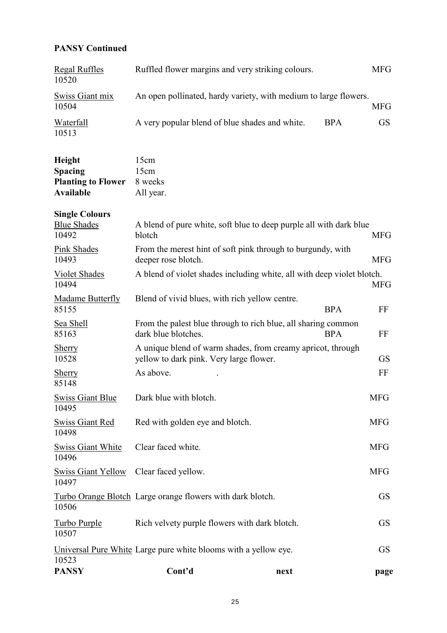### **PANSY Continued**

| <b>PANSY</b>                                         | Cont'd                                                                                                 | next |            | page       |
|------------------------------------------------------|--------------------------------------------------------------------------------------------------------|------|------------|------------|
| 10523                                                | Universal Pure White Large pure white blooms with a yellow eye.                                        |      |            | <b>GS</b>  |
| Turbo Purple<br>10507                                | Rich velvety purple flowers with dark blotch.                                                          |      |            | <b>GS</b>  |
| 10506                                                | Turbo Orange Blotch Large orange flowers with dark blotch.                                             |      |            | <b>GS</b>  |
| <b>Swiss Giant Yellow</b><br>10497                   | Clear faced yellow.                                                                                    |      |            | <b>MFG</b> |
| <b>Swiss Giant White</b><br>10496                    | Clear faced white.                                                                                     |      |            | <b>MFG</b> |
| <b>Swiss Giant Red</b><br>10498                      | Red with golden eye and blotch.                                                                        |      |            | <b>MFG</b> |
| <b>Swiss Giant Blue</b><br>10495                     | Dark blue with blotch.                                                                                 |      |            | <b>MFG</b> |
| <b>Sherry</b><br>85148                               | As above.                                                                                              |      |            | FF         |
| <u>Sherry</u><br>10528                               | A unique blend of warm shades, from creamy apricot, through<br>yellow to dark pink. Very large flower. |      |            | <b>GS</b>  |
| <b>Sea Shell</b><br>85163                            | From the palest blue through to rich blue, all sharing common<br>dark blue blotches.                   |      | <b>BPA</b> | FF         |
| Madame Butterfly<br>85155                            | Blend of vivid blues, with rich yellow centre.                                                         |      | <b>BPA</b> | FF         |
| Violet Shades<br>10494                               | A blend of violet shades including white, all with deep violet blotch.                                 |      |            | <b>MFG</b> |
| <b>Pink Shades</b><br>10493                          | From the merest hint of soft pink through to burgundy, with<br>deeper rose blotch.                     |      |            | <b>MFG</b> |
| <b>Single Colours</b><br><b>Blue Shades</b><br>10492 | A blend of pure white, soft blue to deep purple all with dark blue<br>blotch                           |      |            | <b>MFG</b> |
| <b>Available</b>                                     | All year.                                                                                              |      |            |            |
| <b>Planting to Flower</b>                            | 8 weeks                                                                                                |      |            |            |
| Height<br><b>Spacing</b>                             | 15cm<br>15cm                                                                                           |      |            |            |
| <b>Waterfall</b><br>10513                            | A very popular blend of blue shades and white.                                                         |      | <b>BPA</b> | <b>GS</b>  |
| Swiss Giant mix<br>10504                             | An open pollinated, hardy variety, with medium to large flowers.                                       |      |            | <b>MFG</b> |
| <b>Regal Ruffles</b><br>10520                        | Ruffled flower margins and very striking colours.                                                      |      | <b>MFG</b> |            |
|                                                      |                                                                                                        |      |            |            |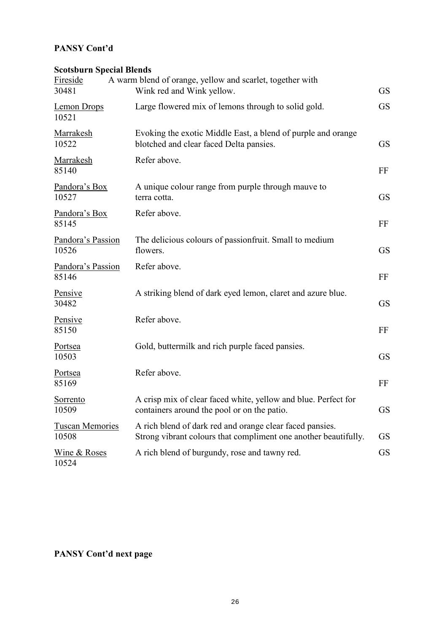### **PANSY Cont'd**

### **Scotsburn Special Blends**

| Fireside<br>30481               | A warm blend of orange, yellow and scarlet, together with<br>Wink red and Wink yellow.                                      | <b>GS</b> |
|---------------------------------|-----------------------------------------------------------------------------------------------------------------------------|-----------|
| Lemon Drops<br>10521            | Large flowered mix of lemons through to solid gold.                                                                         | <b>GS</b> |
| Marrakesh<br>10522              | Evoking the exotic Middle East, a blend of purple and orange<br>blotched and clear faced Delta pansies.                     | <b>GS</b> |
| Marrakesh<br>85140              | Refer above.                                                                                                                | FF        |
| Pandora's Box<br>10527          | A unique colour range from purple through mauve to<br>terra cotta.                                                          | <b>GS</b> |
| Pandora's Box<br>85145          | Refer above.                                                                                                                | FF        |
| Pandora's Passion<br>10526      | The delicious colours of passionfruit. Small to medium<br>flowers.                                                          | <b>GS</b> |
| Pandora's Passion<br>85146      | Refer above.                                                                                                                | FF        |
| Pensive<br>30482                | A striking blend of dark eyed lemon, claret and azure blue.                                                                 | <b>GS</b> |
| Pensive<br>85150                | Refer above.                                                                                                                | FF        |
| Portsea<br>10503                | Gold, buttermilk and rich purple faced pansies.                                                                             | <b>GS</b> |
| Portsea<br>85169                | Refer above.                                                                                                                | FF        |
| Sorrento<br>10509               | A crisp mix of clear faced white, yellow and blue. Perfect for<br>containers around the pool or on the patio.               | <b>GS</b> |
| <b>Tuscan Memories</b><br>10508 | A rich blend of dark red and orange clear faced pansies.<br>Strong vibrant colours that compliment one another beautifully. | <b>GS</b> |
| Wine & Roses<br>10524           | A rich blend of burgundy, rose and tawny red.                                                                               | <b>GS</b> |

**PANSY Cont'd next page**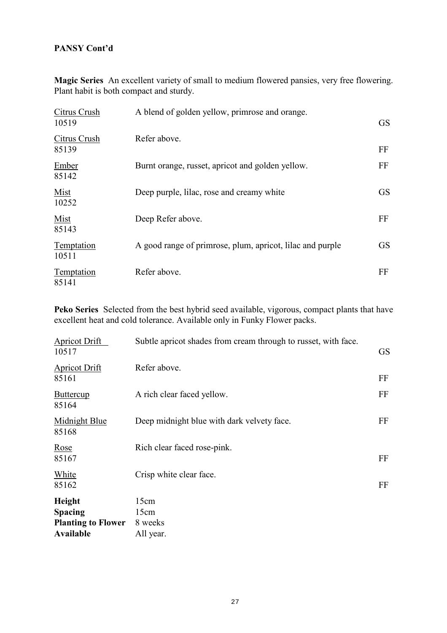### **PANSY Cont'd**

**Magic Series** An excellent variety of small to medium flowered pansies, very free flowering. Plant habit is both compact and sturdy.

| Citrus Crush<br>10519      | A blend of golden yellow, primrose and orange.            | <b>GS</b> |
|----------------------------|-----------------------------------------------------------|-----------|
| Citrus Crush<br>85139      | Refer above.                                              | FF        |
| Ember<br>85142             | Burnt orange, russet, apricot and golden yellow.          | FF        |
| Mist<br>10252              | Deep purple, lilac, rose and creamy white                 | <b>GS</b> |
| Mist<br>85143              | Deep Refer above.                                         | FF        |
| <b>Temptation</b><br>10511 | A good range of primrose, plum, apricot, lilac and purple | <b>GS</b> |
| Temptation<br>85141        | Refer above.                                              | FF        |

**Peko Series** Selected from the best hybrid seed available, vigorous, compact plants that have excellent heat and cold tolerance. Available only in Funky Flower packs.

| Apricot Drift<br>10517                                                    | Subtle apricot shades from cream through to russet, with face. | <b>GS</b> |
|---------------------------------------------------------------------------|----------------------------------------------------------------|-----------|
| <b>Apricot Drift</b><br>85161                                             | Refer above.                                                   | FF        |
| <b>Buttercup</b><br>85164                                                 | A rich clear faced yellow.                                     | FF        |
| Midnight Blue<br>85168                                                    | Deep midnight blue with dark velvety face.                     | FF        |
| Rose<br>85167                                                             | Rich clear faced rose-pink.                                    | FF        |
| White<br>85162                                                            | Crisp white clear face.                                        | FF        |
| Height<br><b>Spacing</b><br><b>Planting to Flower</b><br><b>Available</b> | 15cm<br>15cm<br>8 weeks<br>All year.                           |           |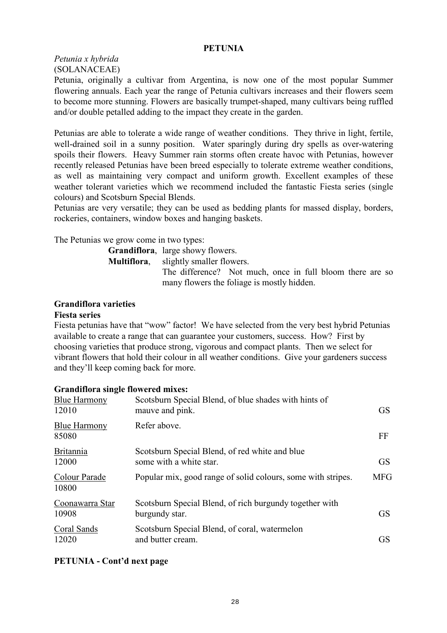#### **PETUNIA**

*Petunia x hybrida* (SOLANACEAE)

Petunia, originally a cultivar from Argentina, is now one of the most popular Summer flowering annuals. Each year the range of Petunia cultivars increases and their flowers seem to become more stunning. Flowers are basically trumpet-shaped, many cultivars being ruffled and/or double petalled adding to the impact they create in the garden.

Petunias are able to tolerate a wide range of weather conditions. They thrive in light, fertile, well-drained soil in a sunny position. Water sparingly during dry spells as over-watering spoils their flowers. Heavy Summer rain storms often create havoc with Petunias, however recently released Petunias have been breed especially to tolerate extreme weather conditions, as well as maintaining very compact and uniform growth. Excellent examples of these weather tolerant varieties which we recommend included the fantastic Fiesta series (single colours) and Scotsburn Special Blends.

Petunias are very versatile; they can be used as bedding plants for massed display, borders, rockeries, containers, window boxes and hanging baskets.

The Petunias we grow come in two types:

| <b>Grandiflora</b> , large showy flowers.                 |
|-----------------------------------------------------------|
| <b>Multiflora</b> , slightly smaller flowers.             |
| The difference? Not much, once in full bloom there are so |
| many flowers the foliage is mostly hidden.                |

### **Grandiflora varieties**

#### **Fiesta series**

Fiesta petunias have that "wow" factor! We have selected from the very best hybrid Petunias available to create a range that can guarantee your customers, success. How? First by choosing varieties that produce strong, vigorous and compact plants. Then we select for vibrant flowers that hold their colour in all weather conditions. Give your gardeners success and they'll keep coming back for more.

### **Grandiflora single flowered mixes:**

| <b>Blue Harmony</b><br>12010 | Scotsburn Special Blend, of blue shades with hints of<br>mauve and pink.  | <b>GS</b>  |
|------------------------------|---------------------------------------------------------------------------|------------|
| <b>Blue Harmony</b><br>85080 | Refer above.                                                              | FF         |
| <b>Britannia</b><br>12000    | Scotsburn Special Blend, of red white and blue<br>some with a white star. | <b>GS</b>  |
| Colour Parade<br>10800       | Popular mix, good range of solid colours, some with stripes.              | <b>MFG</b> |
| Coonawarra Star<br>10908     | Scotsburn Special Blend, of rich burgundy together with<br>burgundy star. | <b>GS</b>  |
| Coral Sands<br>12020         | Scotsburn Special Blend, of coral, watermelon<br>and butter cream.        | <b>GS</b>  |

### **PETUNIA - Cont'd next page**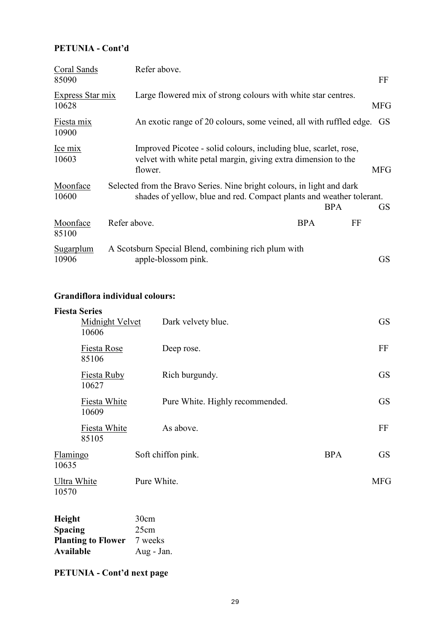### **PETUNIA - Cont'd**

| Coral Sands               | Refer above.                                                               |                                                                                                                                   |            |
|---------------------------|----------------------------------------------------------------------------|-----------------------------------------------------------------------------------------------------------------------------------|------------|
| 85090                     |                                                                            |                                                                                                                                   | FF         |
| Express Star mix<br>10628 |                                                                            | Large flowered mix of strong colours with white star centres.                                                                     | MFG        |
| Fiesta mix<br>10900       |                                                                            | An exotic range of 20 colours, some veined, all with ruffled edge.                                                                | GS         |
| Ice mix<br>10603          | flower.                                                                    | Improved Picotee - solid colours, including blue, scarlet, rose,<br>velvet with white petal margin, giving extra dimension to the | <b>MFG</b> |
| Moonface<br>10600         | Selected from the Bravo Series. Nine bright colours, in light and dark     | shades of yellow, blue and red. Compact plants and weather tolerant.<br><b>BPA</b>                                                | <b>GS</b>  |
| Moonface<br>85100         | Refer above.                                                               | <b>BPA</b>                                                                                                                        | FF         |
| Sugarplum<br>10906        | A Scotsburn Special Blend, combining rich plum with<br>apple-blossom pink. |                                                                                                                                   | GS         |

### **Grandiflora individual colours:**

| <b>Fiesta Series</b><br><b>Midnight Velvet</b><br>10606 | Dark velvety blue.              |            | <b>GS</b>  |
|---------------------------------------------------------|---------------------------------|------------|------------|
| Fiesta Rose<br>85106                                    | Deep rose.                      |            | FF         |
| <b>Fiesta Ruby</b><br>10627                             | Rich burgundy.                  |            | <b>GS</b>  |
| Fiesta White<br>10609                                   | Pure White. Highly recommended. |            | <b>GS</b>  |
| Fiesta White<br>85105                                   | As above.                       |            | FF         |
| Flamingo<br>10635                                       | Soft chiffon pink.              | <b>BPA</b> | <b>GS</b>  |
| Ultra White<br>10570                                    | Pure White.                     |            | <b>MFG</b> |

| <b>Height</b>             | 30cm       |
|---------------------------|------------|
| <b>Spacing</b>            | 25cm       |
| <b>Planting to Flower</b> | 7 weeks    |
| Available                 | Aug - Jan. |

**PETUNIA - Cont'd next page**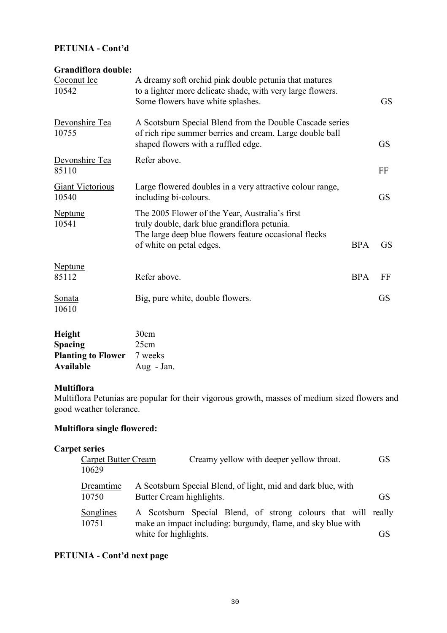### **PETUNIA - Cont'd**

### **Grandiflora double:**

| Coconut Ice<br>10542             | A dreamy soft orchid pink double petunia that matures<br>to a lighter more delicate shade, with very large flowers.<br>Some flowers have white splashes.                            |            | <b>GS</b> |
|----------------------------------|-------------------------------------------------------------------------------------------------------------------------------------------------------------------------------------|------------|-----------|
| Devonshire Tea<br>10755          | A Scotsburn Special Blend from the Double Cascade series<br>of rich ripe summer berries and cream. Large double ball<br>shaped flowers with a ruffled edge.                         |            | <b>GS</b> |
| Devonshire Tea<br>85110          | Refer above.                                                                                                                                                                        |            | FF        |
| <b>Giant Victorious</b><br>10540 | Large flowered doubles in a very attractive colour range,<br>including bi-colours.                                                                                                  |            | <b>GS</b> |
| <b>Neptune</b><br>10541          | The 2005 Flower of the Year, Australia's first<br>truly double, dark blue grandiflora petunia.<br>The large deep blue flowers feature occasional flecks<br>of white on petal edges. | <b>BPA</b> | <b>GS</b> |
| <b>Neptune</b><br>85112          | Refer above.                                                                                                                                                                        | <b>BPA</b> | FF        |
| <b>Sonata</b><br>10610           | Big, pure white, double flowers.                                                                                                                                                    |            | <b>GS</b> |

| Height                    | 30cm       |
|---------------------------|------------|
| <b>Spacing</b>            | 25cm       |
| <b>Planting to Flower</b> | 7 weeks    |
| Available                 | Aug - Jan. |

### **Multiflora**

Multiflora Petunias are popular for their vigorous growth, masses of medium sized flowers and good weather tolerance.

### **Multiflora single flowered:**

### **Carpet series**

| <b>Carpet Butter Cream</b><br>10629 | Creamy yellow with deeper yellow throat.                                                                                      | <b>GS</b> |
|-------------------------------------|-------------------------------------------------------------------------------------------------------------------------------|-----------|
| Dreamtime<br>10750                  | A Scotsburn Special Blend, of light, mid and dark blue, with<br>Butter Cream highlights.                                      | <b>GS</b> |
| Songlines<br>10751                  | A Scotsburn Special Blend, of strong colours that will really<br>make an impact including: burgundy, flame, and sky blue with |           |
|                                     | white for highlights.                                                                                                         | GS        |

### **PETUNIA - Cont'd next page**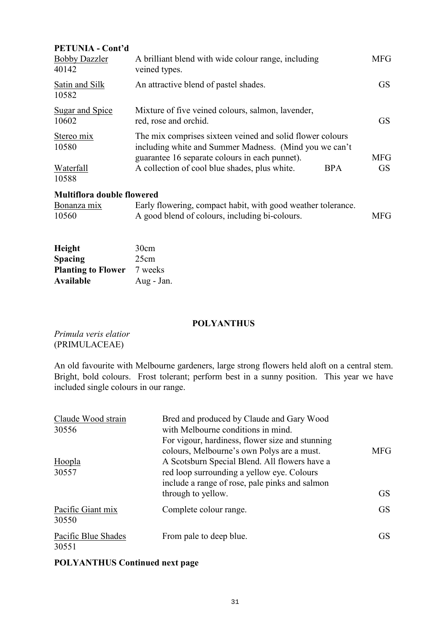| <b>PETUNIA - Cont'd</b>                   |                                                                                                                                                                                                                                      |                         |
|-------------------------------------------|--------------------------------------------------------------------------------------------------------------------------------------------------------------------------------------------------------------------------------------|-------------------------|
| <b>Bobby Dazzler</b><br>40142             | A brilliant blend with wide colour range, including<br>veined types.                                                                                                                                                                 | <b>MFG</b>              |
| Satin and Silk<br>10582                   | An attractive blend of pastel shades.                                                                                                                                                                                                | GS.                     |
| <b>Sugar and Spice</b><br>10602           | Mixture of five veined colours, salmon, lavender,<br>red, rose and orchid.                                                                                                                                                           | GS.                     |
| Stereo mix<br>10580<br>Waterfall<br>10588 | The mix comprises sixteen veined and solid flower colours<br>including white and Summer Madness. (Mind you we can't<br>guarantee 16 separate colours in each punnet).<br>A collection of cool blue shades, plus white.<br><b>BPA</b> | <b>MFG</b><br><b>GS</b> |
| <b>Multiflora double flowered</b>         |                                                                                                                                                                                                                                      |                         |
| Bonanza mix<br>10560                      | Early flowering, compact habit, with good weather tolerance.<br>A good blend of colours, including bi-colours.                                                                                                                       | <b>MFG</b>              |

| Height                    | 30cm       |
|---------------------------|------------|
| <b>Spacing</b>            | 25cm       |
| <b>Planting to Flower</b> | 7 weeks    |
| Available                 | Aug - Jan. |

### **POLYANTHUS**

*Primula veris elatior*  (PRIMULACEAE)

An old favourite with Melbourne gardeners, large strong flowers held aloft on a central stem. Bright, bold colours. Frost tolerant; perform best in a sunny position. This year we have included single colours in our range.

| Claude Wood strain<br>30556  | Bred and produced by Claude and Gary Wood<br>with Melbourne conditions in mind.<br>For vigour, hardiness, flower size and stunning<br>colours, Melbourne's own Polys are a must. | <b>MFG</b> |
|------------------------------|----------------------------------------------------------------------------------------------------------------------------------------------------------------------------------|------------|
| Hoopla<br>30557              | A Scotsburn Special Blend. All flowers have a<br>red loop surrounding a yellow eye. Colours<br>include a range of rose, pale pinks and salmon<br>through to yellow.              | <b>GS</b>  |
| Pacific Giant mix<br>30550   | Complete colour range.                                                                                                                                                           | <b>GS</b>  |
| Pacific Blue Shades<br>30551 | From pale to deep blue.                                                                                                                                                          | <b>GS</b>  |

### **POLYANTHUS Continued next page**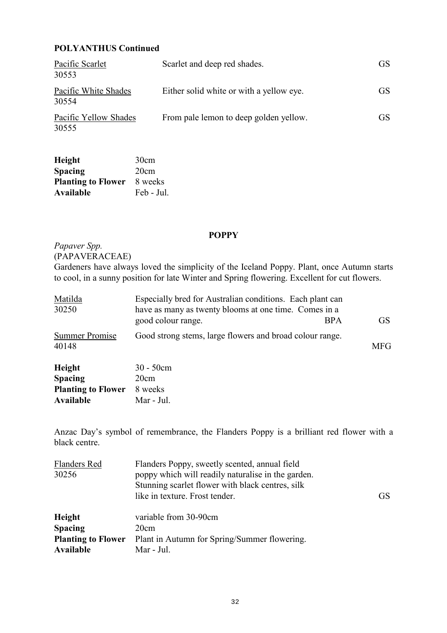### **POLYANTHUS Continued**

| Pacific Scarlet<br>30553       | Scarlet and deep red shades.             | GS.       |
|--------------------------------|------------------------------------------|-----------|
| Pacific White Shades<br>30554  | Either solid white or with a yellow eye. | GS.       |
| Pacific Yellow Shades<br>30555 | From pale lemon to deep golden yellow.   | <b>GS</b> |

| Height                    | 30cm       |
|---------------------------|------------|
| <b>Spacing</b>            | 20cm       |
| <b>Planting to Flower</b> | 8 weeks    |
| Available                 | Feb - Jul. |

**Available** Mar - Jul.

### **POPPY**

### *Papaver Spp.*  (PAPAVERACEAE)

Gardeners have always loved the simplicity of the Iceland Poppy. Plant, once Autumn starts to cool, in a sunny position for late Winter and Spring flowering. Excellent for cut flowers.

| Matilda<br>30250               | Especially bred for Australian conditions. Each plant can<br>have as many as twenty blooms at one time. Comes in a |            |
|--------------------------------|--------------------------------------------------------------------------------------------------------------------|------------|
|                                | good colour range.<br><b>BPA</b>                                                                                   | GS.        |
| <b>Summer Promise</b><br>40148 | Good strong stems, large flowers and broad colour range.                                                           | <b>MFG</b> |
| Height                         | $30 - 50$ cm                                                                                                       |            |
| <b>Spacing</b>                 | 20cm                                                                                                               |            |
| <b>Planting to Flower</b>      | 8 weeks                                                                                                            |            |

Anzac Day's symbol of remembrance, the Flanders Poppy is a brilliant red flower with a black centre.

| GS |
|----|
|    |
|    |
|    |
|    |
|    |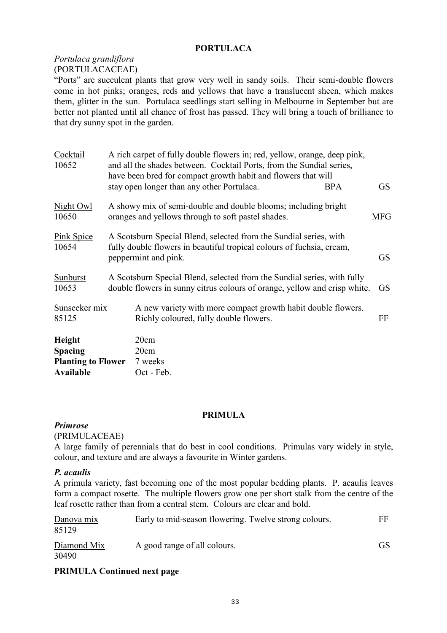### **PORTULACA**

### *Portulaca grandiflora* (PORTULACACEAE)

"Ports" are succulent plants that grow very well in sandy soils. Their semi-double flowers come in hot pinks; oranges, reds and yellows that have a translucent sheen, which makes them, glitter in the sun. Portulaca seedlings start selling in Melbourne in September but are better not planted until all chance of frost has passed. They will bring a touch of brilliance to that dry sunny spot in the garden.

| Cocktail<br>10652                                     | A rich carpet of fully double flowers in; red, yellow, orange, deep pink,<br>and all the shades between. Cocktail Ports, from the Sundial series,<br>have been bred for compact growth habit and flowers that will |            |
|-------------------------------------------------------|--------------------------------------------------------------------------------------------------------------------------------------------------------------------------------------------------------------------|------------|
|                                                       | stay open longer than any other Portulaca.<br><b>BPA</b>                                                                                                                                                           | <b>GS</b>  |
| Night Owl<br>10650                                    | A showy mix of semi-double and double blooms; including bright<br>oranges and yellows through to soft pastel shades.                                                                                               | <b>MFG</b> |
| <b>Pink Spice</b><br>10654                            | A Scotsburn Special Blend, selected from the Sundial series, with<br>fully double flowers in beautiful tropical colours of fuchsia, cream,<br>peppermint and pink.                                                 | <b>GS</b>  |
| Sunburst<br>10653                                     | A Scotsburn Special Blend, selected from the Sundial series, with fully<br>double flowers in sunny citrus colours of orange, yellow and crisp white.                                                               | GS.        |
| Sunseeker mix<br>85125                                | A new variety with more compact growth habit double flowers.<br>Richly coloured, fully double flowers.                                                                                                             | FF         |
| Height<br><b>Spacing</b><br><b>Planting to Flower</b> | 20cm<br>20cm<br>7 weeks                                                                                                                                                                                            |            |
| <b>Available</b>                                      | Oct - Feb.                                                                                                                                                                                                         |            |

### **PRIMULA**

### *Primrose*

#### (PRIMULACEAE)

A large family of perennials that do best in cool conditions. Primulas vary widely in style, colour, and texture and are always a favourite in Winter gardens.

### *P. acaulis*

A primula variety, fast becoming one of the most popular bedding plants. P. acaulis leaves form a compact rosette. The multiple flowers grow one per short stalk from the centre of the leaf rosette rather than from a central stem. Colours are clear and bold.

| Danova mix<br>85129  | Early to mid-season flowering. Twelve strong colours. | FF. |
|----------------------|-------------------------------------------------------|-----|
| Diamond Mix<br>30490 | A good range of all colours.                          | GS. |

### **PRIMULA Continued next page**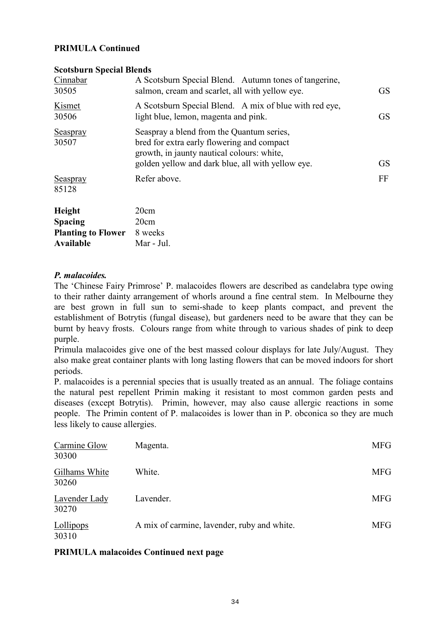### **PRIMULA Continued**

#### **Scotsburn Special Blends**

| Cinnabar<br>30505        | A Scotsburn Special Blend. Autumn tones of tangerine,<br>salmon, cream and scarlet, all with yellow eye.                                                                                   | <b>GS</b> |
|--------------------------|--------------------------------------------------------------------------------------------------------------------------------------------------------------------------------------------|-----------|
| Kismet<br>30506          | A Scotsburn Special Blend. A mix of blue with red eye,<br>light blue, lemon, magenta and pink.                                                                                             | <b>GS</b> |
| <b>Seaspray</b><br>30507 | Seaspray a blend from the Quantum series,<br>bred for extra early flowering and compact<br>growth, in jaunty nautical colours: white,<br>golden yellow and dark blue, all with yellow eye. | <b>GS</b> |
| <b>Seaspray</b><br>85128 | Refer above.                                                                                                                                                                               | FF        |
| Height                   | 20cm                                                                                                                                                                                       |           |

| 20cm       |
|------------|
| 8 weeks    |
| Mar - Jul. |
|            |

### *P. malacoides.*

The 'Chinese Fairy Primrose' P. malacoides flowers are described as candelabra type owing to their rather dainty arrangement of whorls around a fine central stem. In Melbourne they are best grown in full sun to semi-shade to keep plants compact, and prevent the establishment of Botrytis (fungal disease), but gardeners need to be aware that they can be burnt by heavy frosts. Colours range from white through to various shades of pink to deep purple.

Primula malacoides give one of the best massed colour displays for late July/August. They also make great container plants with long lasting flowers that can be moved indoors for short periods.

P. malacoides is a perennial species that is usually treated as an annual. The foliage contains the natural pest repellent Primin making it resistant to most common garden pests and diseases (except Botrytis). Primin, however, may also cause allergic reactions in some people. The Primin content of P. malacoides is lower than in P. obconica so they are much less likely to cause allergies.

| Carmine Glow<br>30300  | Magenta.                                    | <b>MFG</b> |
|------------------------|---------------------------------------------|------------|
| Gilhams White<br>30260 | White.                                      | <b>MFG</b> |
| Lavender Lady<br>30270 | Lavender.                                   | <b>MFG</b> |
| Lollipops<br>30310     | A mix of carmine, lavender, ruby and white. | <b>MFG</b> |

### **PRIMULA malacoides Continued next page**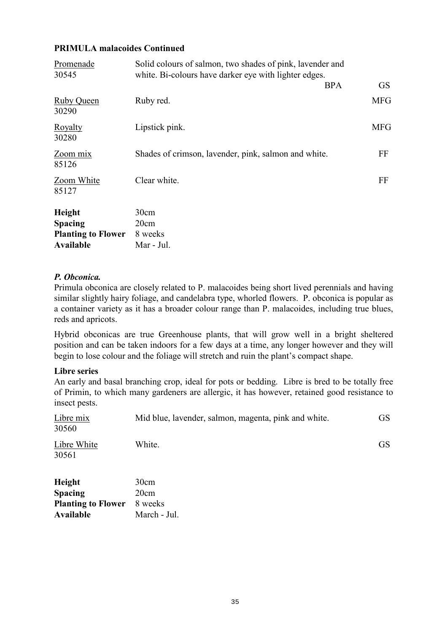### **PRIMULA malacoides Continued**

| Promenade<br>30545                                                 | Solid colours of salmon, two shades of pink, lavender and<br>white. Bi-colours have darker eye with lighter edges. |            |
|--------------------------------------------------------------------|--------------------------------------------------------------------------------------------------------------------|------------|
|                                                                    | <b>BPA</b>                                                                                                         | <b>GS</b>  |
| Ruby Queen<br>30290                                                | Ruby red.                                                                                                          | <b>MFG</b> |
| Royalty<br>30280                                                   | Lipstick pink.                                                                                                     | <b>MFG</b> |
| Zoom mix<br>85126                                                  | Shades of crimson, lavender, pink, salmon and white.                                                               | FF         |
| Zoom White<br>85127                                                | Clear white.                                                                                                       | FF         |
| Height<br><b>Spacing</b><br><b>Planting to Flower</b><br>Available | 30cm<br>20cm<br>8 weeks<br>Mar - Jul.                                                                              |            |

### *P. Obconica.*

Primula obconica are closely related to P. malacoides being short lived perennials and having similar slightly hairy foliage, and candelabra type, whorled flowers. P. obconica is popular as a container variety as it has a broader colour range than P. malacoides, including true blues, reds and apricots.

Hybrid obconicas are true Greenhouse plants, that will grow well in a bright sheltered position and can be taken indoors for a few days at a time, any longer however and they will begin to lose colour and the foliage will stretch and ruin the plant's compact shape.

### **Libre series**

**Planting to Flower** 8 weeks **Available** March - Jul.

An early and basal branching crop, ideal for pots or bedding. Libre is bred to be totally free of Primin, to which many gardeners are allergic, it has however, retained good resistance to insect pests.

| Libre mix<br>30560       | Mid blue, lavender, salmon, magenta, pink and white. | <b>GS</b> |
|--------------------------|------------------------------------------------------|-----------|
| Libre White<br>30561     | White.                                               | <b>GS</b> |
| Height<br><b>Spacing</b> | 30cm<br>20cm                                         |           |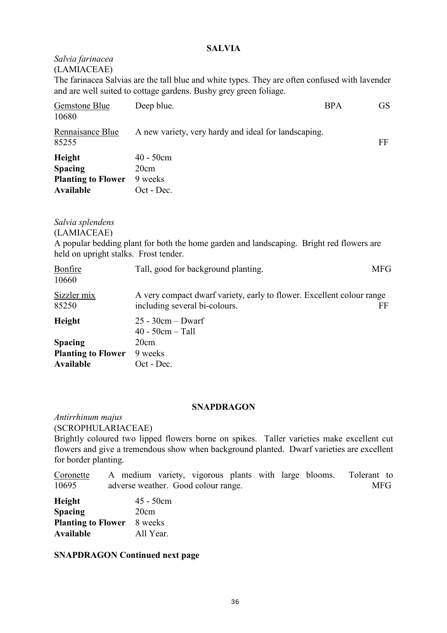### **SALVIA**

### *Salvia farinacea* (LAMIACEAE)

The farinacea Salvias are the tall blue and white types. They are often confused with lavender and are well suited to cottage gardens. Bushy grey green foliage.

| Gemstone Blue<br>10680                                             | Deep blue.                                           | <b>BPA</b> | GS |
|--------------------------------------------------------------------|------------------------------------------------------|------------|----|
| Rennaisance Blue<br>85255                                          | A new variety, very hardy and ideal for landscaping. |            | FF |
| Height<br><b>Spacing</b><br><b>Planting to Flower</b><br>Available | $40 - 50$ cm<br>20cm<br>9 weeks<br>Oct - Dec.        |            |    |

### *Salvia splendens*

(LAMIACEAE)

A popular bedding plant for both the home garden and landscaping. Bright red flowers are held on upright stalks. Frost tender.

| Bonfire<br>10660          | Tall, good for background planting.                                                                    | MFG |
|---------------------------|--------------------------------------------------------------------------------------------------------|-----|
| Sizzler mix<br>85250      | A very compact dwarf variety, early to flower. Excellent colour range<br>including several bi-colours. | FF  |
| Height                    | $25 - 30cm - Dwarf$<br>$40 - 50$ cm $-$ Tall                                                           |     |
| <b>Spacing</b>            | 20cm                                                                                                   |     |
| <b>Planting to Flower</b> | 9 weeks                                                                                                |     |
| Available                 | Oct - Dec.                                                                                             |     |

### **SNAPDRAGON**

*Antirrhinum majus* (SCROPHULARIACEAE)

Brightly coloured two lipped flowers borne on spikes. Taller varieties make excellent cut flowers and give a tremendous show when background planted. Dwarf varieties are excellent for border planting.

Coronette A medium variety, vigorous plants with large blooms. Tolerant to 10695 adverse weather. Good colour range. MFG

| Height                    | $45 - 50cm$ |
|---------------------------|-------------|
| <b>Spacing</b>            | 20cm        |
| <b>Planting to Flower</b> | 8 weeks     |
| Available                 | All Year.   |

### **SNAPDRAGON Continued next page**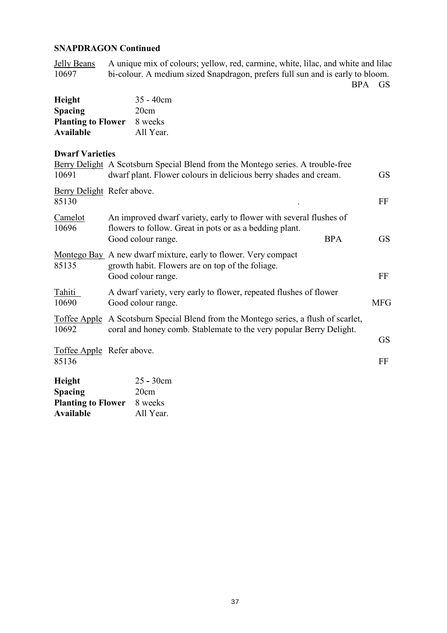### **SNAPDRAGON Continued**

Jelly Beans A unique mix of colours; yellow, red, carmine, white, lilac, and white and lilac bi-colour. A medium sized Snapdragon, prefers full sun and is early to bloom. bi-colour. A medium sized Snapdragon, prefers full sun and is early to bloom.

BPA GS

| Height                    | $35 - 40cm$ |
|---------------------------|-------------|
| <b>Spacing</b>            | 20cm        |
| <b>Planting to Flower</b> | 8 weeks     |
| Available                 | All Year.   |

# **Dwarf Varieties**

| DWAIT VALICUES                                               |                                                                                                                                                                   |            |
|--------------------------------------------------------------|-------------------------------------------------------------------------------------------------------------------------------------------------------------------|------------|
| 10691                                                        | Berry Delight A Scotsburn Special Blend from the Montego series. A trouble-free<br>dwarf plant. Flower colours in delicious berry shades and cream.               | <b>GS</b>  |
| Berry Delight Refer above.<br>85130                          |                                                                                                                                                                   | FF         |
| Camelot<br>10696                                             | An improved dwarf variety, early to flower with several flushes of<br>flowers to follow. Great in pots or as a bedding plant.<br><b>BPA</b><br>Good colour range. | <b>GS</b>  |
| 85135                                                        | Montego Bay A new dwarf mixture, early to flower. Very compact<br>growth habit. Flowers are on top of the foliage.<br>Good colour range.                          | FF         |
| Tahiti<br>10690                                              | A dwarf variety, very early to flower, repeated flushes of flower<br>Good colour range.                                                                           | <b>MFG</b> |
| 10692                                                        | Toffee Apple A Scotsburn Special Blend from the Montego series, a flush of scarlet,<br>coral and honey comb. Stablemate to the very popular Berry Delight.        |            |
| Toffee Apple Refer above.<br>85136                           |                                                                                                                                                                   | GS<br>FF   |
| <b>Height</b><br><b>Spacing</b><br><b>Planting to Flower</b> | $25 - 30$ cm<br>20cm<br>8 weeks                                                                                                                                   |            |

**Available** All Year.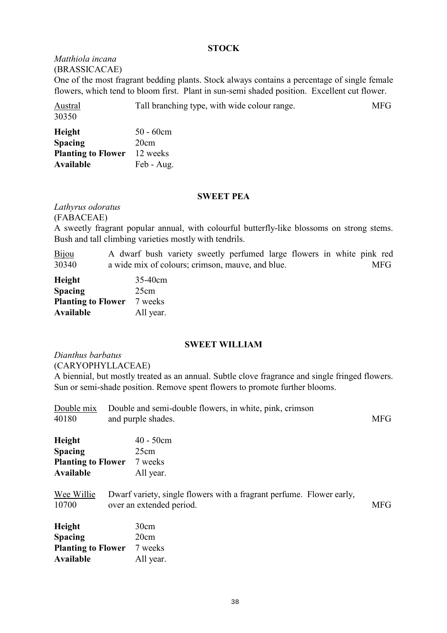### **STOCK**

#### *Matthiola incana*  (BRASSICACAE)

One of the most fragrant bedding plants. Stock always contains a percentage of single female flowers, which tend to bloom first. Plant in sun-semi shaded position. Excellent cut flower.

| <b>Austral</b><br>30350 | Tall branching type, with wide colour range. | MFG |
|-------------------------|----------------------------------------------|-----|
| $\mathbf{H}$ .:         | $\epsilon$ 0.                                |     |

| Height                    | $50 - 60$ cm |
|---------------------------|--------------|
| <b>Spacing</b>            | 20cm         |
| <b>Planting to Flower</b> | 12 weeks     |
| Available                 | Feb - Aug.   |

#### **SWEET PEA**

*Lathyrus odoratus*

(FABACEAE)

A sweetly fragrant popular annual, with colourful butterfly-like blossoms on strong stems. Bush and tall climbing varieties mostly with tendrils.

Bijou A dwarf bush variety sweetly perfumed large flowers in white pink red 30340 a wide mix of colours; crimson, mauve, and blue. MFG

| Height                    | 35-40cm   |
|---------------------------|-----------|
| <b>Spacing</b>            | 25cm      |
| <b>Planting to Flower</b> | 7 weeks   |
| <b>Available</b>          | All year. |

### **SWEET WILLIAM**

*Dianthus barbatus* (CARYOPHYLLACEAE)

A biennial, but mostly treated as an annual. Subtle clove fragrance and single fringed flowers. Sun or semi-shade position. Remove spent flowers to promote further blooms.

| Double mix<br>40180                                                | Double and semi-double flowers, in white, pink, crimson<br>and purple shades.                    | <b>MFG</b> |
|--------------------------------------------------------------------|--------------------------------------------------------------------------------------------------|------------|
| Height<br><b>Spacing</b><br><b>Planting to Flower</b><br>Available | $40 - 50cm$<br>25cm<br>7 weeks<br>All year.                                                      |            |
| Wee Willie<br>10700                                                | Dwarf variety, single flowers with a fragrant perfume. Flower early,<br>over an extended period. | <b>MFG</b> |
| Height<br><b>Spacing</b><br><b>Planting to Flower</b><br>Available | 30cm<br>20cm<br>7 weeks<br>All year.                                                             |            |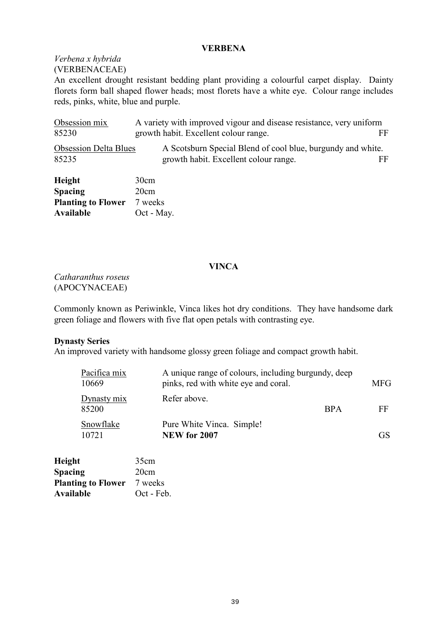### **VERBENA**

### *Verbena x hybrida*  (VERBENACEAE)

An excellent drought resistant bedding plant providing a colourful carpet display. Dainty florets form ball shaped flower heads; most florets have a white eye. Colour range includes reds, pinks, white, blue and purple.

| Obsession mix<br>85230                 | A variety with improved vigour and disease resistance, very uniform<br>growth habit. Excellent colour range.<br>FF |  |
|----------------------------------------|--------------------------------------------------------------------------------------------------------------------|--|
| <b>Obsession Delta Blues</b><br>85235  | A Scotsburn Special Blend of cool blue, burgundy and white.<br>growth habit. Excellent colour range.<br>FF         |  |
| Height<br><b>Spacing</b>               | 30cm<br>20cm                                                                                                       |  |
| <b>Planting to Flower</b><br>Available | 7 weeks<br>Oct - May.                                                                                              |  |

### **VINCA**

*Catharanthus roseus*  (APOCYNACEAE)

Commonly known as Periwinkle, Vinca likes hot dry conditions. They have handsome dark green foliage and flowers with five flat open petals with contrasting eye.

### **Dynasty Series**

An improved variety with handsome glossy green foliage and compact growth habit.

| Pacifica mix<br>10669 | A unique range of colours, including burgundy, deep<br>pinks, red with white eye and coral. |            | <b>MFG</b>      |
|-----------------------|---------------------------------------------------------------------------------------------|------------|-----------------|
| Dynasty mix<br>85200  | Refer above.                                                                                | <b>BPA</b> | FF              |
| Snowflake<br>10721    | Pure White Vinca. Simple!<br><b>NEW for 2007</b>                                            |            | GS <sup>3</sup> |

| Height                    | 35cm       |
|---------------------------|------------|
| <b>Spacing</b>            | 20cm       |
| <b>Planting to Flower</b> | 7 weeks    |
| Available                 | Oct - Feb. |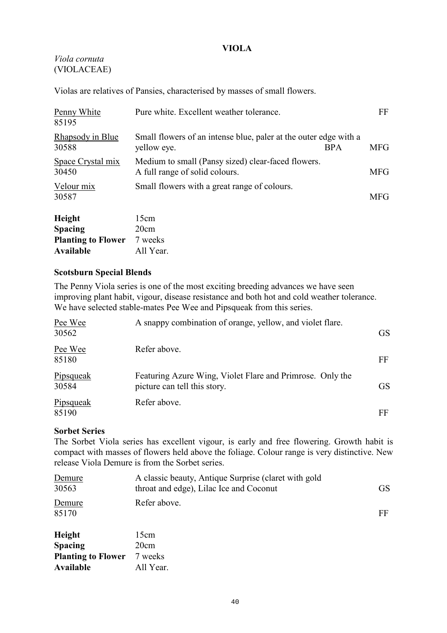### **VIOLA**

### *Viola cornuta* (VIOLACEAE)

Violas are relatives of Pansies, characterised by masses of small flowers.

| $\mathbf{H}$ atal $\mathbf{H}$ | $15 \, \mathrm{cm}$                                                                  |            |            |
|--------------------------------|--------------------------------------------------------------------------------------|------------|------------|
| Velour mix<br>30587            | Small flowers with a great range of colours.                                         |            | <b>MFG</b> |
| Space Crystal mix<br>30450     | Medium to small (Pansy sized) clear-faced flowers.<br>A full range of solid colours. |            | <b>MFG</b> |
| Rhapsody in Blue<br>30588      | Small flowers of an intense blue, paler at the outer edge with a<br>yellow eye.      | <b>BPA</b> | <b>MFG</b> |
| Penny White<br>85195           | Pure white. Excellent weather tolerance.                                             |            | FF         |

| 15cm      |
|-----------|
| 20cm      |
| 7 weeks   |
| All Year. |
|           |

### **Scotsburn Special Blends**

The Penny Viola series is one of the most exciting breeding advances we have seen improving plant habit, vigour, disease resistance and both hot and cold weather tolerance. We have selected stable-mates Pee Wee and Pipsqueak from this series.

| Pee Wee<br>30562          | A snappy combination of orange, yellow, and violet flare.                                 | GS.       |
|---------------------------|-------------------------------------------------------------------------------------------|-----------|
| Pee Wee<br>85180          | Refer above.                                                                              | FF        |
| <b>Pipsqueak</b><br>30584 | Featuring Azure Wing, Violet Flare and Primrose. Only the<br>picture can tell this story. | <b>GS</b> |
| Pipsqueak<br>85190        | Refer above.                                                                              | FF        |

### **Sorbet Series**

The Sorbet Viola series has excellent vigour, is early and free flowering. Growth habit is compact with masses of flowers held above the foliage. Colour range is very distinctive. New release Viola Demure is from the Sorbet series.

| Demure<br>30563           | A classic beauty, Antique Surprise (claret with gold<br>throat and edge), Lilac Ice and Coconut | <b>GS</b> |
|---------------------------|-------------------------------------------------------------------------------------------------|-----------|
| Demure<br>85170           | Refer above.                                                                                    | FF        |
| Height                    | 15cm                                                                                            |           |
| <b>Spacing</b>            | 20cm                                                                                            |           |
| <b>Planting to Flower</b> | 7 weeks                                                                                         |           |
| Available                 | All Year.                                                                                       |           |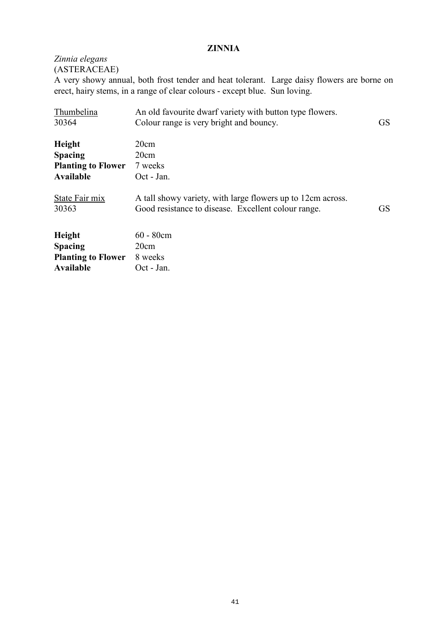### **ZINNIA**

*Zinnia elegans* (ASTERACEAE)

A very showy annual, both frost tender and heat tolerant. Large daisy flowers are borne on erect, hairy stems, in a range of clear colours - except blue. Sun loving.

| Thumbelina<br>30364       | An old favourite dwarf variety with button type flowers.<br>Colour range is very bright and bouncy. | <b>GS</b> |
|---------------------------|-----------------------------------------------------------------------------------------------------|-----------|
|                           |                                                                                                     |           |
| Height                    | 20cm                                                                                                |           |
| <b>Spacing</b>            | 20cm                                                                                                |           |
| <b>Planting to Flower</b> | 7 weeks                                                                                             |           |
| Available                 | Oct - Jan.                                                                                          |           |
| State Fair mix            | A tall showy variety, with large flowers up to 12cm across.                                         |           |
| 30363                     | Good resistance to disease. Excellent colour range.                                                 | <b>GS</b> |
| Height                    | $60 - 80$ cm                                                                                        |           |
| <b>Spacing</b>            | 20cm                                                                                                |           |
| <b>Planting to Flower</b> | 8 weeks                                                                                             |           |
| Available                 | Oct - Jan.                                                                                          |           |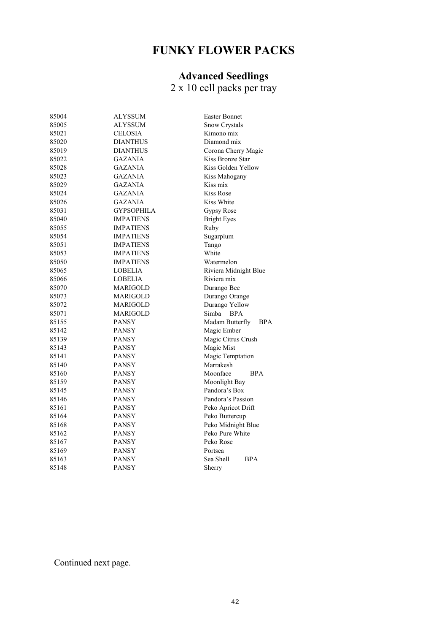# **FUNKY FLOWER PACKS**

### **Advanced Seedlings**

2 x 10 cell packs per tray

| 85004 | ALYSSUM           | <b>Easter Bonnet</b>          |  |
|-------|-------------------|-------------------------------|--|
| 85005 | ALYSSUM           | Snow Crystals                 |  |
| 85021 | <b>CELOSIA</b>    | Kimono mix                    |  |
| 85020 | <b>DIANTHUS</b>   | Diamond mix                   |  |
| 85019 | <b>DIANTHUS</b>   | Corona Cherry Magic           |  |
| 85022 | <b>GAZANIA</b>    | Kiss Bronze Star              |  |
| 85028 | <b>GAZANIA</b>    | Kiss Golden Yellow            |  |
| 85023 | <b>GAZANIA</b>    | Kiss Mahogany                 |  |
| 85029 | <b>GAZANIA</b>    | Kiss mix                      |  |
| 85024 | <b>GAZANIA</b>    | Kiss Rose                     |  |
| 85026 | <b>GAZANIA</b>    | Kiss White                    |  |
| 85031 | <b>GYPSOPHILA</b> | Gypsy Rose                    |  |
| 85040 | <b>IMPATIENS</b>  | <b>Bright Eyes</b>            |  |
| 85055 | <b>IMPATIENS</b>  | Ruby                          |  |
| 85054 | <b>IMPATIENS</b>  | Sugarplum                     |  |
| 85051 | <b>IMPATIENS</b>  | Tango                         |  |
| 85053 | <b>IMPATIENS</b>  | White                         |  |
| 85050 | <b>IMPATIENS</b>  | Watermelon                    |  |
| 85065 | LOBELIA           | Riviera Midnight Blue         |  |
| 85066 | LOBELIA           | Riviera mix                   |  |
| 85070 | MARIGOLD          | Durango Bee                   |  |
| 85073 | MARIGOLD          | Durango Orange                |  |
| 85072 | <b>MARIGOLD</b>   | Durango Yellow                |  |
| 85071 | <b>MARIGOLD</b>   | Simba<br><b>BPA</b>           |  |
| 85155 | <b>PANSY</b>      | Madam Butterfly<br><b>BPA</b> |  |
| 85142 | <b>PANSY</b>      | Magic Ember                   |  |
| 85139 | <b>PANSY</b>      | Magic Citrus Crush            |  |
| 85143 | <b>PANSY</b>      | Magic Mist                    |  |
| 85141 | <b>PANSY</b>      | Magic Temptation              |  |
| 85140 | <b>PANSY</b>      | Marrakesh                     |  |
| 85160 | <b>PANSY</b>      | Moonface<br><b>BPA</b>        |  |
| 85159 | <b>PANSY</b>      | Moonlight Bay                 |  |
| 85145 | <b>PANSY</b>      | Pandora's Box                 |  |
| 85146 | <b>PANSY</b>      | Pandora's Passion             |  |
| 85161 | <b>PANSY</b>      | Peko Apricot Drift            |  |
| 85164 | <b>PANSY</b>      | Peko Buttercup                |  |
| 85168 | <b>PANSY</b>      | Peko Midnight Blue            |  |
| 85162 | <b>PANSY</b>      | Peko Pure White               |  |
| 85167 | <b>PANSY</b>      | Peko Rose                     |  |
| 85169 | PANSY             | Portsea                       |  |
| 85163 | <b>PANSY</b>      | Sea Shell<br><b>BPA</b>       |  |
| 85148 | <b>PANSY</b>      | Sherry                        |  |
|       |                   |                               |  |

Continued next page.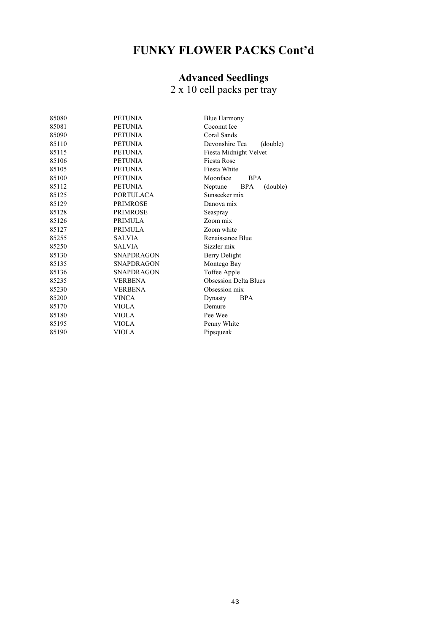# **FUNKY FLOWER PACKS Cont'd**

### **Advanced Seedlings**

2 x 10 cell packs per tray

| 85080 | <b>PETUNIA</b>    | <b>Blue Harmony</b>               |  |  |
|-------|-------------------|-----------------------------------|--|--|
| 85081 | <b>PETUNIA</b>    | Coconut Ice                       |  |  |
| 85090 | <b>PETUNIA</b>    | Coral Sands                       |  |  |
| 85110 | <b>PETUNIA</b>    | Devonshire Tea<br>(double)        |  |  |
| 85115 | <b>PETUNIA</b>    | Fiesta Midnight Velvet            |  |  |
| 85106 | <b>PETUNIA</b>    | <b>Fiesta Rose</b>                |  |  |
| 85105 | <b>PETUNIA</b>    | Fiesta White                      |  |  |
| 85100 | <b>PETUNIA</b>    | Moonface<br><b>BPA</b>            |  |  |
| 85112 | <b>PETUNIA</b>    | Neptune<br><b>BPA</b><br>(double) |  |  |
| 85125 | <b>PORTULACA</b>  | Sunseeker mix                     |  |  |
| 85129 | <b>PRIMROSE</b>   | Danova mix                        |  |  |
| 85128 | <b>PRIMROSE</b>   | Seaspray                          |  |  |
| 85126 | <b>PRIMULA</b>    | Zoom mix                          |  |  |
| 85127 | <b>PRIMULA</b>    | Zoom white                        |  |  |
| 85255 | <b>SALVIA</b>     | Renaissance Blue                  |  |  |
| 85250 | <b>SALVIA</b>     | Sizzler mix                       |  |  |
| 85130 | <b>SNAPDRAGON</b> | Berry Delight                     |  |  |
| 85135 | <b>SNAPDRAGON</b> | Montego Bay                       |  |  |
| 85136 | <b>SNAPDRAGON</b> | Toffee Apple                      |  |  |
| 85235 | <b>VERBENA</b>    | <b>Obsession Delta Blues</b>      |  |  |
| 85230 | <b>VERBENA</b>    | Obsession mix                     |  |  |
| 85200 | <b>VINCA</b>      | <b>BPA</b><br>Dynasty             |  |  |
| 85170 | <b>VIOLA</b>      | Demure                            |  |  |
| 85180 | <b>VIOLA</b>      | Pee Wee                           |  |  |
| 85195 | <b>VIOLA</b>      | Penny White                       |  |  |
| 85190 | <b>VIOLA</b>      | Pipsqueak                         |  |  |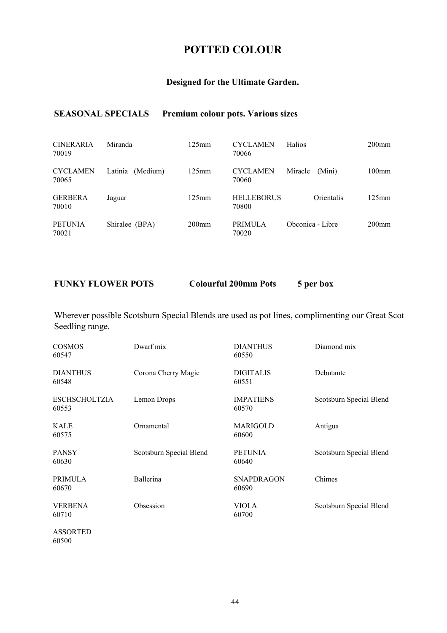# **POTTED COLOUR**

### **Designed for the Ultimate Garden.**

### **SEASONAL SPECIALS Premium colour pots. Various sizes**

| <b>CINERARIA</b><br>70019 | Miranda             | $125$ mm | <b>CYCLAMEN</b><br>70066   | <b>Halios</b>     | $200$ mm |
|---------------------------|---------------------|----------|----------------------------|-------------------|----------|
| <b>CYCLAMEN</b><br>70065  | Latinia<br>(Medium) | $125$ mm | <b>CYCLAMEN</b><br>70060   | Miracle<br>(Mini) | $100$ mm |
| <b>GERBERA</b><br>70010   | Jaguar              | $125$ mm | <b>HELLEBORUS</b><br>70800 | Orientalis        | $125$ mm |
| <b>PETUNIA</b><br>70021   | Shiralee (BPA)      | $200$ mm | <b>PRIMULA</b><br>70020    | Obconica - Libre  | $200$ mm |

**FUNKY FLOWER POTS Colourful 200mm Pots 5 per box** 

Wherever possible Scotsburn Special Blends are used as pot lines, complimenting our Great Scot Seedling range.

| <b>COSMOS</b><br>60547        | Dwarf mix               | <b>DIANTHUS</b><br>60550   | Diamond mix             |
|-------------------------------|-------------------------|----------------------------|-------------------------|
| <b>DIANTHUS</b><br>60548      | Corona Cherry Magic     | <b>DIGITALIS</b><br>60551  | Debutante               |
| <b>ESCHSCHOLTZIA</b><br>60553 | Lemon Drops             | <b>IMPATIENS</b><br>60570  | Scotsburn Special Blend |
| <b>KALE</b><br>60575          | Ornamental              | MARIGOLD<br>60600          | Antigua                 |
| <b>PANSY</b><br>60630         | Scotsburn Special Blend | <b>PETUNIA</b><br>60640    | Scotsburn Special Blend |
| <b>PRIMULA</b><br>60670       | Ballerina               | <b>SNAPDRAGON</b><br>60690 | Chimes                  |
| <b>VERBENA</b><br>60710       | Obsession               | <b>VIOLA</b><br>60700      | Scotsburn Special Blend |
|                               |                         |                            |                         |

ASSORTED 60500